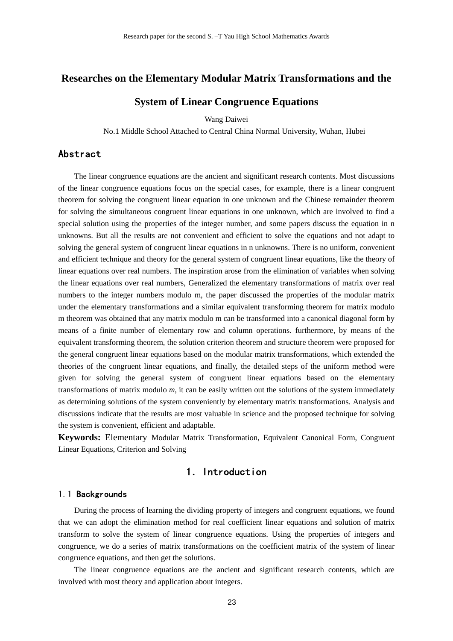## **Researches on the Elementary Modular Matrix Transformations and the**

## **System of Linear Congruence Equations**

Wang Daiwei

No.1 Middle School Attached to Central China Normal University, Wuhan, Hubei

## Abstract

The linear congruence equations are the ancient and significant research contents. Most discussions of the linear congruence equations focus on the special cases, for example, there is a linear congruent theorem for solving the congruent linear equation in one unknown and the Chinese remainder theorem for solving the simultaneous congruent linear equations in one unknown, which are involved to find a special solution using the properties of the integer number, and some papers discuss the equation in n unknowns. But all the results are not convenient and efficient to solve the equations and not adapt to solving the general system of congruent linear equations in n unknowns. There is no uniform, convenient and efficient technique and theory for the general system of congruent linear equations, like the theory of linear equations over real numbers. The inspiration arose from the elimination of variables when solving the linear equations over real numbers, Generalized the elementary transformations of matrix over real numbers to the integer numbers modulo m, the paper discussed the properties of the modular matrix under the elementary transformations and a similar equivalent transforming theorem for matrix modulo m theorem was obtained that any matrix modulo m can be transformed into a canonical diagonal form by means of a finite number of elementary row and column operations. furthermore, by means of the equivalent transforming theorem, the solution criterion theorem and structure theorem were proposed for the general congruent linear equations based on the modular matrix transformations, which extended the theories of the congruent linear equations, and finally, the detailed steps of the uniform method were given for solving the general system of congruent linear equations based on the elementary transformations of matrix modulo *m*, it can be easily written out the solutions of the system immediately as determining solutions of the system conveniently by elementary matrix transformations. Analysis and discussions indicate that the results are most valuable in science and the proposed technique for solving the system is convenient, efficient and adaptable.

**Keywords:** Elementary Modular Matrix Transformation, Equivalent Canonical Form, Congruent Linear Equations, Criterion and Solving

# 1.Introduction

#### 1.1 Backgrounds

During the process of learning the dividing property of integers and congruent equations, we found that we can adopt the elimination method for real coefficient linear equations and solution of matrix transform to solve the system of linear congruence equations. Using the properties of integers and congruence, we do a series of matrix transformations on the coefficient matrix of the system of linear congruence equations, and then get the solutions.

The linear congruence equations are the ancient and significant research contents, which are involved with most theory and application about integers.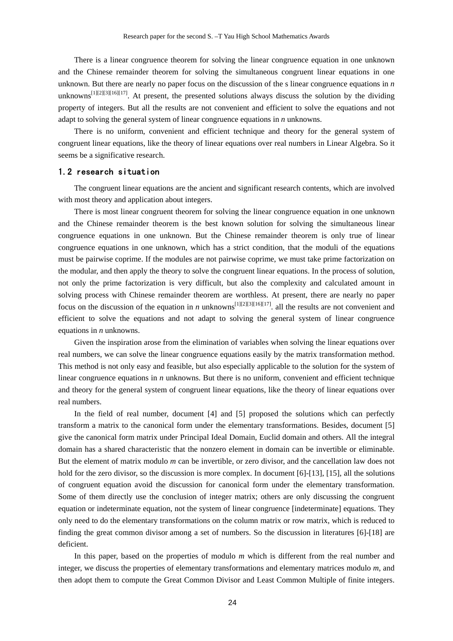There is a linear congruence theorem for solving the linear congruence equation in one unknown and the Chinese remainder theorem for solving the simultaneous congruent linear equations in one unknown. But there are nearly no paper focus on the discussion of the s linear congruence equations in *n* unknowns<sup>[1][2][3][16][17]</sup>. At present, the presented solutions always discuss the solution by the dividing property of integers. But all the results are not convenient and efficient to solve the equations and not adapt to solving the general system of linear congruence equations in *n* unknowns.

There is no uniform, convenient and efficient technique and theory for the general system of congruent linear equations, like the theory of linear equations over real numbers in Linear Algebra. So it seems be a significative research.

### 1.2 research situation

The congruent linear equations are the ancient and significant research contents, which are involved with most theory and application about integers.

There is most linear congruent theorem for solving the linear congruence equation in one unknown and the Chinese remainder theorem is the best known solution for solving the simultaneous linear congruence equations in one unknown. But the Chinese remainder theorem is only true of linear congruence equations in one unknown, which has a strict condition, that the moduli of the equations must be pairwise coprime. If the modules are not pairwise coprime, we must take prime factorization on the modular, and then apply the theory to solve the congruent linear equations. In the process of solution, not only the prime factorization is very difficult, but also the complexity and calculated amount in solving process with Chinese remainder theorem are worthless. At present, there are nearly no paper focus on the discussion of the equation in *n* unknowns<sup>[1][2][3][16][17]. all the results are not convenient and</sup> efficient to solve the equations and not adapt to solving the general system of linear congruence equations in *n* unknowns.

Given the inspiration arose from the elimination of variables when solving the linear equations over real numbers, we can solve the linear congruence equations easily by the matrix transformation method. This method is not only easy and feasible, but also especially applicable to the solution for the system of linear congruence equations in *n* unknowns. But there is no uniform, convenient and efficient technique and theory for the general system of congruent linear equations, like the theory of linear equations over real numbers.

In the field of real number, document [4] and [5] proposed the solutions which can perfectly transform a matrix to the canonical form under the elementary transformations. Besides, document [5] give the canonical form matrix under Principal Ideal Domain, Euclid domain and others. All the integral domain has a shared characteristic that the nonzero element in domain can be invertible or eliminable. But the element of matrix modulo *m* can be invertible, or zero divisor, and the cancellation law does not hold for the zero divisor, so the discussion is more complex. In document [6]-[13], [15], all the solutions of congruent equation avoid the discussion for canonical form under the elementary transformation. Some of them directly use the conclusion of integer matrix; others are only discussing the congruent equation or indeterminate equation, not the system of linear congruence [indeterminate] equations. They only need to do the elementary transformations on the column matrix or row matrix, which is reduced to finding the great common divisor among a set of numbers. So the discussion in literatures [6]-[18] are deficient.

In this paper, based on the properties of modulo *m* which is different from the real number and integer, we discuss the properties of elementary transformations and elementary matrices modulo *m*, and then adopt them to compute the Great Common Divisor and Least Common Multiple of finite integers.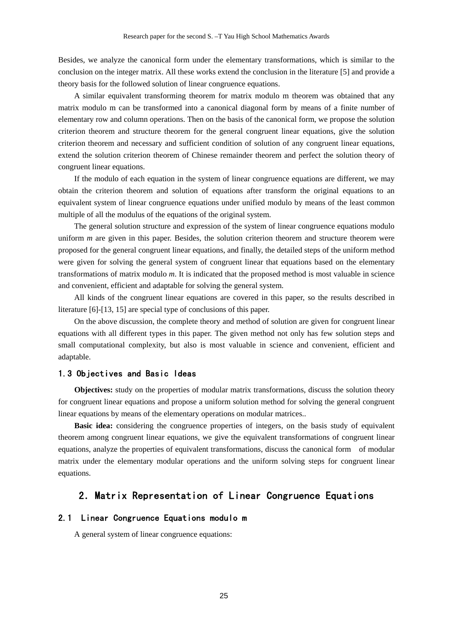Besides, we analyze the canonical form under the elementary transformations, which is similar to the conclusion on the integer matrix. All these works extend the conclusion in the literature [5] and provide a theory basis for the followed solution of linear congruence equations.

A similar equivalent transforming theorem for matrix modulo m theorem was obtained that any matrix modulo m can be transformed into a canonical diagonal form by means of a finite number of elementary row and column operations. Then on the basis of the canonical form, we propose the solution criterion theorem and structure theorem for the general congruent linear equations, give the solution criterion theorem and necessary and sufficient condition of solution of any congruent linear equations, extend the solution criterion theorem of Chinese remainder theorem and perfect the solution theory of congruent linear equations.

If the modulo of each equation in the system of linear congruence equations are different, we may obtain the criterion theorem and solution of equations after transform the original equations to an equivalent system of linear congruence equations under unified modulo by means of the least common multiple of all the modulus of the equations of the original system.

The general solution structure and expression of the system of linear congruence equations modulo uniform *m* are given in this paper. Besides, the solution criterion theorem and structure theorem were proposed for the general congruent linear equations, and finally, the detailed steps of the uniform method were given for solving the general system of congruent linear that equations based on the elementary transformations of matrix modulo *m*. It is indicated that the proposed method is most valuable in science and convenient, efficient and adaptable for solving the general system.

All kinds of the congruent linear equations are covered in this paper, so the results described in literature [6]-[13, 15] are special type of conclusions of this paper.

On the above discussion, the complete theory and method of solution are given for congruent linear equations with all different types in this paper. The given method not only has few solution steps and small computational complexity, but also is most valuable in science and convenient, efficient and adaptable.

### 1.3 Objectives and Basic Ideas

**Objectives:** study on the properties of modular matrix transformations, discuss the solution theory for congruent linear equations and propose a uniform solution method for solving the general congruent linear equations by means of the elementary operations on modular matrices..

**Basic idea:** considering the congruence properties of integers, on the basis study of equivalent theorem among congruent linear equations, we give the equivalent transformations of congruent linear equations, analyze the properties of equivalent transformations, discuss the canonical form of modular matrix under the elementary modular operations and the uniform solving steps for congruent linear equations.

## 2.Matrix Representation of Linear Congruence Equations

### 2.1 Linear Congruence Equations modulo m

A general system of linear congruence equations: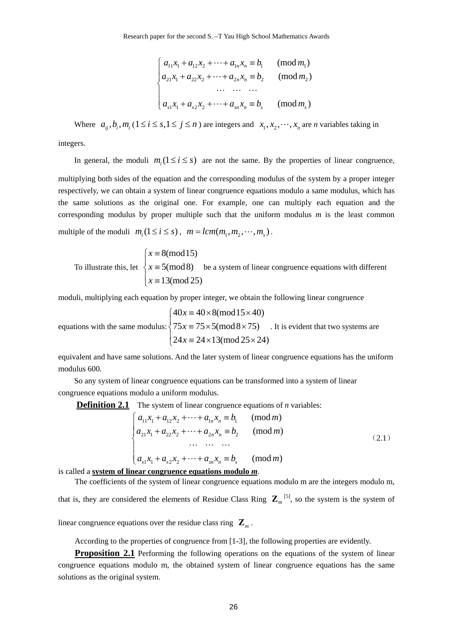$$
\begin{cases}\na_{11}x_1 + a_{12}x_2 + \dots + a_{1n}x_n \equiv b_1 \quad (\text{mod } m_1) \\
a_{21}x_1 + a_{22}x_2 + \dots + a_{2n}x_n \equiv b_2 \quad (\text{mod } m_2) \\
\dots \dots \dots \\
a_{s1}x_1 + a_{s2}x_2 + \dots + a_{sn}x_n \equiv b_s \quad (\text{mod } m_s)\n\end{cases}
$$

Where  $a_{ij}, b_i, m_i$  ( $1 \le i \le s, 1 \le j \le n$ ) are integers and  $x_1, x_2, \dots, x_n$  are *n* variables taking in

integers.

In general, the moduli  $m_i$  ( $1 \le i \le s$ ) are not the same. By the properties of linear congruence, multiplying both sides of the equation and the corresponding modulus of the system by a proper integer respectively, we can obtain a system of linear congruence equations modulo a same modulus, which has the same solutions as the original one. For example, one can multiply each equation and the corresponding modulus by proper multiple such that the uniform modulus  $m$  is the least common

multiple of the moduli  $m_i$  ( $1 \le i \le s$ ),  $m = lcm(m_1, m_2, \dots, m_s)$ .

To illustrate this, let 
$$
\begin{cases} x \equiv 8 \pmod{15} \\ x \equiv 5 \pmod{8} \\ x \equiv 13 \pmod{25} \end{cases}
$$
 be a system of linear congruence equations with different

moduli, multiplying each equation by proper integer, we obtain the following linear congruence

equations with the same modulus: 
$$
\begin{cases} 40x \equiv 40 \times 8 \pmod{15 \times 40} \\ 75x \equiv 75 \times 5 \pmod{8 \times 75} \\ 24x \equiv 24 \times 13 \pmod{25 \times 24} \end{cases}
$$
. It is evident that two systems are

equivalent and have same solutions. And the later system of linear congruence equations has the uniform modulus 600.

So any system of linear congruence equations can be transformed into a system of linear congruence equations modulo a uniform modulus.

**Definition 2.1** The system of linear congruence equations of *n* variables:

$$
\begin{cases}\na_{11}x_1 + a_{12}x_2 + \dots + a_{1n}x_n \equiv b_1 \quad (\text{mod } m) \\
a_{21}x_1 + a_{22}x_2 + \dots + a_{2n}x_n \equiv b_2 \quad (\text{mod } m) \\
\dots \quad \dots \quad \dots \\
a_{s1}x_1 + a_{s2}x_2 + \dots + a_{sn}x_n \equiv b_s \quad (\text{mod } m)\n\end{cases} (2.1)
$$

is called a **system of linear congruence equations modulo** *m*.

The coefficients of the system of linear congruence equations modulo m are the integers modulo m, that is, they are considered the elements of Residue Class Ring  $\mathbb{Z}_m$ <sup>[5]</sup>, so the system is the system of

linear congruence equations over the residue class ring  $\mathbf{Z}_m$ .

According to the properties of congruence from [1-3], the following properties are evidently.

**Proposition 2.1** Performing the following operations on the equations of the system of linear congruence equations modulo m, the obtained system of linear congruence equations has the same solutions as the original system.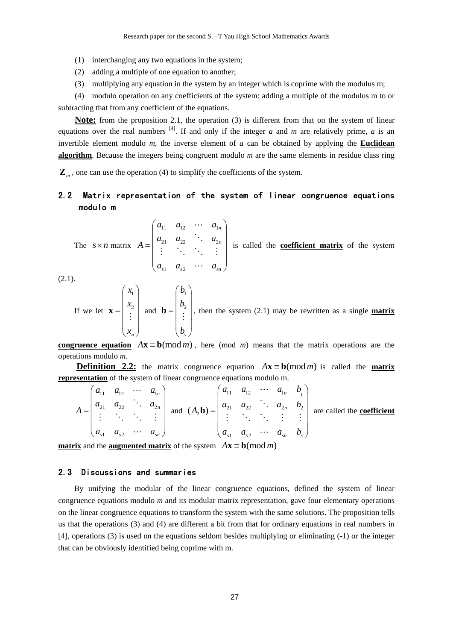- (1) interchanging any two equations in the system;
- (2) adding a multiple of one equation to another;
- (3) multiplying any equation in the system by an integer which is coprime with the modulus m;

(4) modulo operation on any coefficients of the system: adding a multiple of the modulus m to or subtracting that from any coefficient of the equations.

**Note:** from the proposition 2.1, the operation (3) is different from that on the system of linear equations over the real numbers  $[4]$ . If and only if the integer *a* and *m* are relatively prime, *a* is an invertible element modulo *m*, the inverse element of *a* can be obtained by applying the **Euclidean algorithm**. Because the integers being congruent modulo *m* are the same elements in residue class ring

**Z***<sup>m</sup>* , one can use the operation (4) to simplify the coefficients of the system.

## 2.2 Matrix representation of the system of linear congruence equations modulo m

The 
$$
s \times n
$$
 matrix  $A = \begin{pmatrix} a_{11} & a_{12} & \cdots & a_{1n} \\ a_{21} & a_{22} & \cdots & a_{2n} \\ \vdots & \vdots & \ddots & \vdots \\ a_{s1} & a_{s2} & \cdots & a_{sn} \end{pmatrix}$  is called the **coefficient matrix** of the system

 $(2.1).$ 

If we let 
$$
\mathbf{x} = \begin{pmatrix} x_1 \\ x_2 \\ \vdots \\ x_n \end{pmatrix}
$$
 and  $\mathbf{b} = \begin{pmatrix} b_1 \\ b_2 \\ \vdots \\ b_s \end{pmatrix}$ , then the system (2.1) may be rewritten as a single **matrix**

**congruence equation**  $A x \equiv b \pmod{m}$ , here (mod *m*) means that the matrix operations are the operations modulo *m*.

**Definition 2.2:** the matrix congruence equation  $A x \equiv b \pmod{m}$  is called the **matrix representation** of the system of linear congruence equations modulo m.

| $A =$ | $a_{11}$<br>$a_{21}$ |  | $a_{12} \cdots a_{1n}$ | $a_{22}$ $a_{2n}$ and $(A, \mathbf{b}) = \begin{vmatrix} a_{21} & a_{22} & a_{2n} & b_2 \\ \vdots & \vdots & \vdots & \vdots \end{vmatrix}$ | $a_{11}$ | $a_{12} \cdots a_{1n} b_{1}$                                            |  | are called the coefficient |
|-------|----------------------|--|------------------------|---------------------------------------------------------------------------------------------------------------------------------------------|----------|-------------------------------------------------------------------------|--|----------------------------|
|       | $a_{s1}$             |  | $a_{s2} \cdots a_{sn}$ |                                                                                                                                             |          | $\begin{pmatrix} a_{s1} & a_{s2} & \cdots & a_{sn} & b_s \end{pmatrix}$ |  |                            |

**matrix** and the **augmented matrix** of the system  $A\mathbf{x} \equiv \mathbf{b} \pmod{m}$ 

## 2.3 Discussions and summaries

By unifying the modular of the linear congruence equations, defined the system of linear congruence equations modulo *m* and its modular matrix representation, gave four elementary operations on the linear congruence equations to transform the system with the same solutions. The proposition tells us that the operations (3) and (4) are different a bit from that for ordinary equations in real numbers in [4], operations (3) is used on the equations seldom besides multiplying or eliminating (-1) or the integer that can be obviously identified being coprime with m.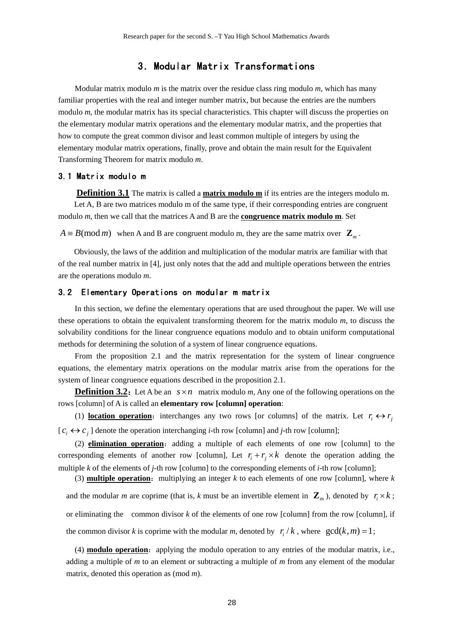## 3.Modular Matrix Transformations

Modular matrix modulo *m* is the matrix over the residue class ring modulo *m*, which has many familiar properties with the real and integer number matrix, but because the entries are the numbers modulo *m*, the modular matrix has its special characteristics. This chapter will discuss the properties on the elementary modular matrix operations and the elementary modular matrix, and the properties that how to compute the great common divisor and least common multiple of integers by using the elementary modular matrix operations, finally, prove and obtain the main result for the Equivalent Transforming Theorem for matrix modulo *m*.

### 3.1 Matrix modulo m

**Definition 3.1** The matrix is called a **matrix modulo m** if its entries are the integers modulo m. Let A, B are two matrices modulo m of the same type, if their corresponding entries are congruent modulo *m*, then we call that the matrices A and B are the **congruence matrix modulo m**. Set

 $A \equiv B \pmod{m}$  when A and B are congruent modulo m, they are the same matrix over  $\mathbb{Z}_m$ .

Obviously, the laws of the addition and multiplication of the modular matrix are familiar with that of the real number matrix in [4], just only notes that the add and multiple operations between the entries are the operations modulo *m*.

#### 3.2 Elementary Operations on modular m matrix

In this section, we define the elementary operations that are used throughout the paper. We will use these operations to obtain the equivalent transforming theorem for the matrix modulo *m*, to discuss the solvability conditions for the linear congruence equations modulo and to obtain uniform computational methods for determining the solution of a system of linear congruence equations.

From the proposition 2.1 and the matrix representation for the system of linear congruence equations, the elementary matrix operations on the modular matrix arise from the operations for the system of linear congruence equations described in the proposition 2.1.

**Definition 3.2:** Let A be an  $s \times n$  matrix modulo *m*, Any one of the following operations on the rows [column] of A is called an **elementary row [column] operation**:

(1) **location operation**: interchanges any two rows [or columns] of the matrix. Let  $r_i \leftrightarrow r_j$  $[c_i \leftrightarrow c_j]$  denote the operation interchanging *i*-th row [column] and *j*-th row [column];

(2) **elimination operation**: adding a multiple of each elements of one row [column] to the corresponding elements of another row [column], Let  $r_i + r_j \times k$  denote the operation adding the multiple *k* of the elements of *j*-th row [column] to the corresponding elements of *i-*th row [column];

(3) **multiple operation**: multiplying an integer  $k$  to each elements of one row [column], where  $k$ and the modular *m* are coprime (that is, *k* must be an invertible element in  $\mathbb{Z}_m$ ), denoted by  $r_i \times k$ ; or eliminating the common divisor *k* of the elements of one row [column] from the row [column], if the common divisor *k* is coprime with the modular *m*, denoted by  $r / k$ , where  $gcd(k, m) = 1$ ;

(4) **modulo operation**: applying the modulo operation to any entries of the modular matrix, i.e., adding a multiple of *m* to an element or subtracting a multiple of *m* from any element of the modular matrix, denoted this operation as (mod *m*).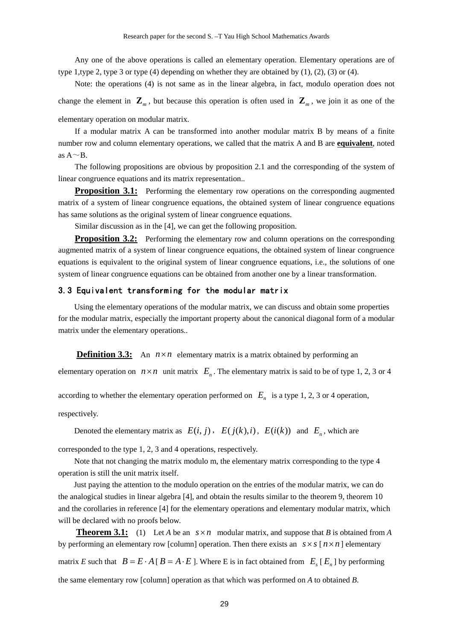Any one of the above operations is called an elementary operation. Elementary operations are of type 1,type 2, type 3 or type (4) depending on whether they are obtained by  $(1)$ ,  $(2)$ ,  $(3)$  or  $(4)$ .

Note: the operations (4) is not same as in the linear algebra, in fact, modulo operation does not change the element in  $\mathbf{Z}_m$ , but because this operation is often used in  $\mathbf{Z}_m$ , we join it as one of the elementary operation on modular matrix.

If a modular matrix A can be transformed into another modular matrix B by means of a finite number row and column elementary operations, we called that the matrix A and B are **equivalent**, noted as  $A \sim B$ .

The following propositions are obvious by proposition 2.1 and the corresponding of the system of linear congruence equations and its matrix representation..

**Proposition 3.1:** Performing the elementary row operations on the corresponding augmented matrix of a system of linear congruence equations, the obtained system of linear congruence equations has same solutions as the original system of linear congruence equations.

Similar discussion as in the [4], we can get the following proposition.

**Proposition 3.2:** Performing the elementary row and column operations on the corresponding augmented matrix of a system of linear congruence equations, the obtained system of linear congruence equations is equivalent to the original system of linear congruence equations, i.e., the solutions of one system of linear congruence equations can be obtained from another one by a linear transformation.

#### 3.3 Equivalent transforming for the modular matrix

Using the elementary operations of the modular matrix, we can discuss and obtain some properties for the modular matrix, especially the important property about the canonical diagonal form of a modular matrix under the elementary operations..

**Definition 3.3:** An  $n \times n$  elementary matrix is a matrix obtained by performing an

elementary operation on  $n \times n$  unit matrix  $E_n$ . The elementary matrix is said to be of type 1, 2, 3 or 4

according to whether the elementary operation performed on  $E<sub>n</sub>$  is a type 1, 2, 3 or 4 operation,

respectively.

Denoted the elementary matrix as  $E(i, j)$ ,  $E(j(k), i)$ ,  $E(i(k))$  and  $E_n$ , which are

corresponded to the type 1, 2, 3 and 4 operations, respectively.

Note that not changing the matrix modulo m, the elementary matrix corresponding to the type 4 operation is still the unit matrix itself.

Just paying the attention to the modulo operation on the entries of the modular matrix, we can do the analogical studies in linear algebra [4], and obtain the results similar to the theorem 9, theorem 10 and the corollaries in reference [4] for the elementary operations and elementary modular matrix, which will be declared with no proofs below.

**Theorem 3.1:** (1) Let *A* be an  $s \times n$  modular matrix, and suppose that *B* is obtained from *A* by performing an elementary row [column] operation. Then there exists an  $s \times s$  [ $n \times n$ ] elementary matrix *E* such that  $B = E \cdot A [B = A \cdot E]$ . Where E is in fact obtained from  $E_s [E_n]$  by performing the same elementary row [column] operation as that which was performed on *A* to obtained *B*.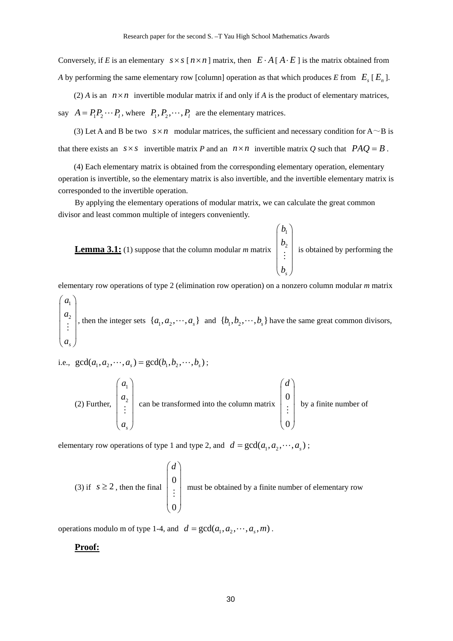Conversely, if *E* is an elementary  $s \times s$  [ $n \times n$ ] matrix, then  $E \cdot A$  [ $A \cdot E$ ] is the matrix obtained from *A* by performing the same elementary row [column] operation as that which produces *E* from  $E_s$  [ $E_n$ ].

(2) *A* is an  $n \times n$  invertible modular matrix if and only if *A* is the product of elementary matrices, say  $A = P_1 P_2 \cdots P_l$ , where  $P_1, P_2, \cdots, P_l$  are the elementary matrices.

(3) Let A and B be two  $s \times n$  modular matrices, the sufficient and necessary condition for A  $\sim$  B is that there exists an  $s \times s$  invertible matrix *P* and an  $n \times n$  invertible matrix *Q* such that  $PAQ = B$ .

(4) Each elementary matrix is obtained from the corresponding elementary operation, elementary operation is invertible, so the elementary matrix is also invertible, and the invertible elementary matrix is corresponded to the invertible operation.

By applying the elementary operations of modular matrix, we can calculate the great common divisor and least common multiple of integers conveniently.



elementary row operations of type 2 (elimination row operation) on a nonzero column modular *m* matrix

1 2 *s a a a*  $\left(\begin{array}{c} a_1 \ a_2 \end{array}\right)$  $|a_2|$  $|\vdots|$  $\binom{a}{a}$  $\begin{cases} a_1, a_2, \dots, a_s \end{cases}$  and  $\{b_1, b_2, \dots, b_s\}$  have the same great common divisors,

i.e.,  $gcd(a_1, a_2, \dots, a_s) = gcd(b_1, b_2, \dots, b_s)$ ;

(2) Further, 
$$
\begin{pmatrix} a_1 \\ a_2 \\ \vdots \\ a_s \end{pmatrix}
$$
 can be transformed into the column matrix  $\begin{pmatrix} d \\ 0 \\ \vdots \\ 0 \end{pmatrix}$  by a finite number of

elementary row operations of type 1 and type 2, and  $d = \gcd(a_1, a_2, \dots, a_n)$ ;

(3) if 
$$
s \ge 2
$$
, then the final  $\begin{pmatrix} d \\ 0 \\ \vdots \\ 0 \end{pmatrix}$  must be obtained by a finite number of elementary row

operations modulo m of type 1-4, and  $d = \gcd(a_1, a_2, \cdots, a_s, m)$ .

## **Proof:**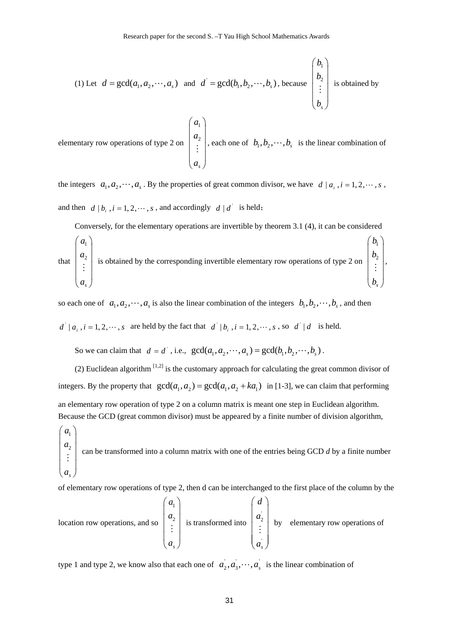(1) Let 
$$
d = \gcd(a_1, a_2, \dots, a_s)
$$
 and  $d' = \gcd(b_1, b_2, \dots, b_s)$ , because  $\begin{pmatrix} b_1 \\ b_2 \\ \vdots \\ b_s \end{pmatrix}$  is obtained by

elementary row operations of type 2 on 1 2 *s a a a*  $\begin{pmatrix} a_1 \\ a_2 \end{pmatrix}$  $|a_{2}|$  $|\vdots|$  $\begin{pmatrix} a_s \end{pmatrix}$  $\begin{bmatrix} \mathbf{b}^{2} \\ \vdots \end{bmatrix}$ , each one of  $b_1, b_2, \dots, b_s$  is the linear combination of

the integers  $a_1, a_2, \dots, a_s$ . By the properties of great common divisor, we have  $d \mid a_i, i = 1, 2, \dots, s$ , and then  $d | b_i$ ,  $i = 1, 2, \dots, s$ , and accordingly  $d | d$  is held;

Conversely, for the elementary operations are invertible by theorem 3.1 (4), it can be considered

that 
$$
\begin{pmatrix} a_1 \\ a_2 \\ \vdots \\ a_s \end{pmatrix}
$$
 is obtained by the corresponding invertible elementary row operations of type 2 on  $\begin{pmatrix} b_1 \\ b_2 \\ \vdots \\ b_s \end{pmatrix}$ ,

so each one of  $a_1, a_2, \dots, a_s$  is also the linear combination of the integers  $b_1, b_2, \dots, b_s$ , and then

 $d' \mid a_i$ ,  $i = 1, 2, \dots, s$  are held by the fact that  $d' \mid b_i$ ,  $i = 1, 2, \dots, s$ , so  $d' \mid d$  is held.

So we can claim that  $d = d'$ , i.e.,  $gcd(a_1, a_2, \dots, a_s) = gcd(b_1, b_2, \dots, b_s)$ .

(2) Euclidean algorithm  $[1,2]$  is the customary approach for calculating the great common divisor of integers. By the property that  $gcd(a_1, a_2) = gcd(a_1, a_2 + ka_1)$  in [1-3], we can claim that performing an elementary row operation of type 2 on a column matrix is meant one step in Euclidean algorithm. Because the GCD (great common divisor) must be appeared by a finite number of division algorithm,

1 2 *s a a a*  $\begin{pmatrix} a_1 \\ a_2 \end{pmatrix}$  $|a_{2}|$  $|\vdots|$  $\begin{pmatrix} a_s \end{pmatrix}$  $\begin{bmatrix} 1 \ \vdots \end{bmatrix}$  can be transformed into a column matrix with one of the entries being GCD *d* by a finite number

of elementary row operations of type 2, then d can be interchanged to the first place of the column by the

location row operations, and so 1 2 *s a a a*  $\left(\begin{array}{c} a_1 \ a_1 \end{array}\right)$  $|a_{2}|$  $|\vdots|$  $\begin{pmatrix} a_s \end{pmatrix}$  $\begin{bmatrix} 2 \\ 1 \end{bmatrix}$  is transformed into ' 2 *s d a a*  $\left( \begin{array}{c} d \end{array} \right)$  $|a_{2}|$  $|\div|$  $\begin{pmatrix} \cdot \\ a_s \end{pmatrix}$  $\begin{bmatrix} 1 & 2 \\ 2 & 5 \end{bmatrix}$  by elementary row operations of

type 1 and type 2, we know also that each one of  $a_2, a_3, \dots, a_s$  is the linear combination of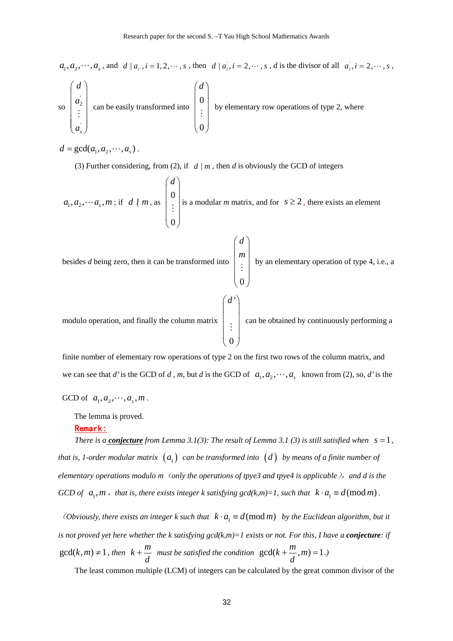$a_1, a_2, \dots, a_s$ , and  $d \mid a_i, i = 1, 2, \dots, s$ , then  $d \mid a_i, i = 2, \dots, s$ , d is the divisor of all  $a_i, i = 2, \dots, s$ , so ' 2 *d a*  $\left(\begin{array}{c} d \end{array}\right)$  $|a_{2}|$  $\vert \hspace{.1cm} : \hspace{.1cm} \vert$  $\begin{pmatrix} \cdot \\ a_s \end{pmatrix}$  $\begin{bmatrix} \vdots \\ \vdots \end{bmatrix}$  can be easily transformed into 0  $\left( d \right)$  $\vert \,$  $\vert \cup \vert$  $\vert \hspace{.1cm} \vdots \hspace{.1cm} \vert$  $\big\vert 0 \big\vert$  $\vdots$  by elementary row operations of type 2, where

 $d = \gcd(a_1, a_2, \cdots, a_s)$ .

' *s*

*a*

(3) Further considering, from (2), if  $d | m$ , then *d* is obviously the GCD of integers

0

$$
a_1, a_2, \dots, a_s, m
$$
; if  $d \nmid m$ , as  $\begin{pmatrix} d \\ 0 \\ \vdots \\ 0 \end{pmatrix}$  is a modular *m* matrix, and for  $s \ge 2$ , there exists an element

besides *d* being zero, then it can be transformed into  $\big\{ \begin{smallmatrix} 0 \end{smallmatrix} \big\}$ *d*  $\begin{pmatrix} d \\ m \end{pmatrix}$  $\mid m \mid$  $\left| \begin{array}{c} \vdots \\ \vdots \end{array} \right|$  by an elementary operation of type 4, i.e., a modulo operation, and finally the column matrix '  $\boldsymbol{0}$  $\left( d^{\prime}\right)$ ⎜ ⎟ ⎜ ⎟  $\vert \hspace{.1cm} \vdots \hspace{.1cm} \vert$  $\binom{0}{ }$  $\vdots$   $\Box$  can be obtained by continuously performing a

finite number of elementary row operations of type 2 on the first two rows of the column matrix, and we can see that *d'* is the GCD of *d*, *m*, but *d* is the GCD of  $a_1, a_2, \dots, a_s$  known from (2), so, *d'* is the

GCD of  $a_1, a_2, \dots, a_s, m$ .

The lemma is proved.

### Remark:

*There is a conjecture from Lemma 3.1(3): The result of Lemma 3.1(3) is still satisfied when*  $s = 1$ *, that is, 1-order modular matrix*  $(a_1)$  *can be transformed into*  $(d)$  *by means of a finite number of elementary operations modulo m*(*only the operations of tpye3 and tpye4 is applicable*),*and d is the GCD of*  $a_1, m$ , that is, there exists integer k satisfying gcd(k,m)=1, such that  $k \cdot a_1 \equiv d \pmod{m}$ .

*(Obviously, there exists an integer k such that*  $k \cdot a_1 \equiv d \pmod{m}$  *by the Euclidean algorithm, but it is not proved yet here whether the k satisfying*  $gcd(k,m)=1$  *exists or not. For this, I have a <i>conjecture*: if  $gcd(k, m) \neq 1$ , then  $k + \frac{m}{n}$ *d*  $+\frac{m}{\cdot}$  must be satisfied the condition  $gcd(k + \frac{m}{\cdot}, m) = 1$ *d*  $+\frac{m}{2}, m) = 1.$ 

The least common multiple (LCM) of integers can be calculated by the great common divisor of the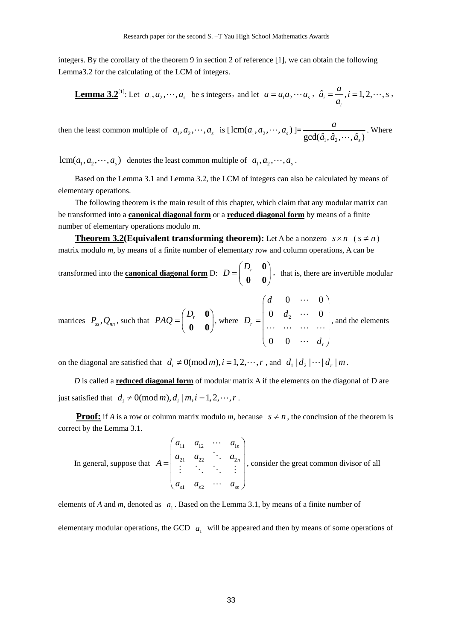integers. By the corollary of the theorem 9 in section 2 of reference [1], we can obtain the following Lemma3.2 for the calculating of the LCM of integers.

**Lemma 3.2**<sup>[1]</sup>: Let 
$$
a_1, a_2, \dots, a_s
$$
 be s integers, and let  $a = a_1 a_2 \cdots a_s$ ,  $\hat{a}_i = \frac{a}{a_i}$ ,  $i = 1, 2, \dots, s$ ,

then the least common multiple of  $a_1, a_2, \dots, a_s$  is  $\left[ \text{lcm}(a_1, a_2, \dots, a_s) \right]$  $\gcd(\hat{a}_1, \hat{a}_2, \cdots, \hat{a}_s)$ *a*  $\frac{a}{\hat{a}_1, \hat{a}_2, \cdots, \hat{a}_s}$ . Where

 $lcm(a_1, a_2, \dots, a_s)$  denotes the least common multiple of  $a_1, a_2, \dots, a_s$ .

Based on the Lemma 3.1 and Lemma 3.2, the LCM of integers can also be calculated by means of elementary operations.

The following theorem is the main result of this chapter, which claim that any modular matrix can be transformed into a **canonical diagonal form** or a **reduced diagonal form** by means of a finite number of elementary operations modulo m.

**Theorem 3.2(Equivalent transforming theorem):** Let A be a nonzero  $s \times n$  ( $s \neq n$ ) matrix modulo *m*, by means of a finite number of elementary row and column operations, A can be

transformed into the **canonical diagonal form** D:  $D = \begin{pmatrix} D_r & \mathbf{0} \\ \mathbf{0} & \mathbf{0} \end{pmatrix}$  $\begin{pmatrix} 0 & 0 \\ 0 & 0 \end{pmatrix}$ , that is, there are invertible modular

matrices 
$$
P_{ss}
$$
,  $Q_{nn}$ , such that  $PAQ = \begin{pmatrix} D_r & \mathbf{0} \\ \mathbf{0} & \mathbf{0} \end{pmatrix}$ , where  $D_r = \begin{pmatrix} d_1 & 0 & \cdots & 0 \\ 0 & d_2 & \cdots & 0 \\ \cdots & \cdots & \cdots & \cdots \\ 0 & 0 & \cdots & d_r \end{pmatrix}$ , and the elements

on the diagonal are satisfied that  $d_i \neq 0 \pmod{m}, i = 1, 2, \dots, r$ , and  $d_1 | d_2 | \dots | d_r | m$ .

*D* is called a **reduced diagonal form** of modular matrix A if the elements on the diagonal of D are just satisfied that  $d_i \neq 0 \pmod{m}$ ,  $d_i | m, i = 1, 2, \dots, r$ .

**Proof:** if *A* is a row or column matrix modulo *m*, because  $s \neq n$ , the conclusion of the theorem is correct by the Lemma 3.1.

In general, suppose that  $u_{12}$   $u_{12}$   $u_1$ 21  $u_{22}$  .  $u_2$  $\mathbf{u}_{s2}$ *n n*  $\mu_{s1}$   $\mu_{s2}$   $\mu_{sm}$  $a_{11}$   $a_{12}$   $\cdots$  *a*  $a_{21}$   $a_{22}$   $\ddots$  *a A*  $a_{s1}$   $a_{s2}$   $\cdots$  *a*  $\left(\begin{array}{cccc} a_{11} & a_{12} & \cdots & a_{1n} \\ \vdots & \vdots & \ddots & \vdots \\ a_{n-1} & a_{n-2} & \cdots & a_{nn} \end{array}\right)$ =  $\begin{pmatrix} a_{s1} & a_{s2} & \cdots & a_{sn} \end{pmatrix}$  $\ddots$  $\ddot{\phantom{a}}$  $\mathcal{V} = \{V_{\mathbf{0}}\cup V_{\mathbf{0}}\}$  $\ddots$ , consider the great common divisor of all

elements of *A* and *m*, denoted as  $a_1$ . Based on the Lemma 3.1, by means of a finite number of elementary modular operations, the GCD  $a_1$  will be appeared and then by means of some operations of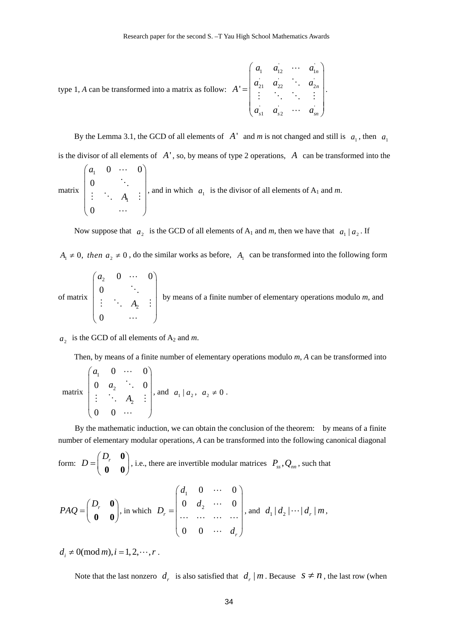type 1, *A* can be transformed into a matrix as follow: 
$$
A' = \begin{pmatrix} a_1 & a_{12} & \cdots & a_{1n} \\ a_{21} & a_{22} & \ddots & a_{2n} \\ \vdots & \ddots & \ddots & \vdots \\ a_{s1} & a_{s2} & \cdots & a_{sn} \end{pmatrix}.
$$

By the Lemma 3.1, the GCD of all elements of  $A'$  and *m* is not changed and still is  $a_1$ , then  $a_1$ is the divisor of all elements of *A*' , so, by means of type 2 operations, *A* can be transformed into the

matrix 
$$
\begin{pmatrix} a_1 & 0 & \cdots & 0 \\ 0 & \ddots & \\ \vdots & \ddots & A_1 & \vdots \\ 0 & \cdots & \cdots \end{pmatrix}
$$
, and in which  $a_1$  is the divisor of all elements of A<sub>1</sub> and m.

Now suppose that  $a_2$  is the GCD of all elements of A<sub>1</sub> and *m*, then we have that  $a_1 | a_2$ . If

 $A_1 \neq 0$ , then  $a_2 \neq 0$ , do the similar works as before,  $A_1$  can be transformed into the following form

of matrix 
$$
\begin{pmatrix} a_2 & 0 & \cdots & 0 \\ 0 & \ddots & \\ \vdots & \ddots & A_2 & \vdots \\ 0 & \cdots & \cdots & \end{pmatrix}
$$
 by means of a finite number of elementary operations modulo *m*, and

 $a_2$  is the GCD of all elements of  $A_2$  and *m*.

Then, by means of a finite number of elementary operations modulo *m*, *A* can be transformed into

matrix 1 2 2  $0 \cdots 0$  $0 \quad a_2 \quad \ddots \quad 0$ 0 0 *a a A*  $\begin{pmatrix} a_1 & 0 & \cdots & 0 \\ 0 & a & a & 0 \end{pmatrix}$  $\begin{bmatrix} 0 & a_2 & \cdots & 0 \end{bmatrix}$  $|\vdots$   $A_n$   $\vdots$  $\begin{pmatrix} 0 & 0 & \cdots \end{pmatrix}$  $\ddots$  $\ddot{\phantom{a}}$  $\vdots$   $A_2$  :  $\ddots$ , and  $a_1 | a_2, a_2 \neq 0$ .

By the mathematic induction, we can obtain the conclusion of the theorem: by means of a finite number of elementary modular operations, *A* can be transformed into the following canonical diagonal

form: 
$$
D = \begin{pmatrix} D_r & \mathbf{0} \\ \mathbf{0} & \mathbf{0} \end{pmatrix}
$$
, i.e., there are invertible modular matrices  $P_{ss}$ ,  $Q_{nn}$ , such that

$$
PAQ = \begin{pmatrix} D_r & \mathbf{0} \\ \mathbf{0} & \mathbf{0} \end{pmatrix}
$$
, in which  $D_r = \begin{pmatrix} d_1 & 0 & \cdots & 0 \\ 0 & d_2 & \cdots & 0 \\ \cdots & \cdots & \cdots & \cdots \\ 0 & 0 & \cdots & d_r \end{pmatrix}$ , and  $d_1 | d_2 | \cdots | d_r | m$ ,

 $d_i \neq 0 \pmod{m}, i = 1, 2, \dots, r$ .

Note that the last nonzero  $d_r$  is also satisfied that  $d_r | m$ . Because  $s \neq n$ , the last row (when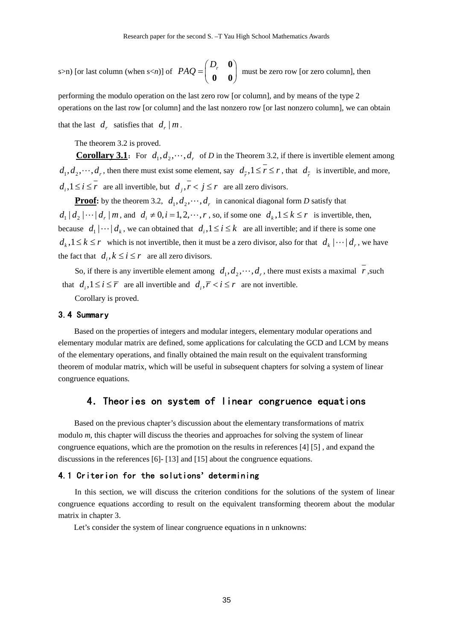s>n) [or last column (when s<*n*)] of  $PAQ = \begin{pmatrix} D_r & \mathbf{0} \\ \mathbf{0} & \mathbf{0} \end{pmatrix}$  $\begin{pmatrix} 0 & 0 \end{pmatrix}$  must be zero row [or zero column], then

performing the modulo operation on the last zero row [or column], and by means of the type 2 operations on the last row [or column] and the last nonzero row [or last nonzero column], we can obtain

that the last  $d_r$  satisfies that  $d_r | m$ .

The theorem 3.2 is proved.

**Corollary 3.1**: For  $d_1, d_2, \dots, d_r$  of *D* in the Theorem 3.2, if there is invertible element among  $d_1, d_2, \dots, d_r$ , then there must exist some element, say  $d_1, 1 \leq r \leq r$ , that  $d_1$  is invertible, and more,  $d_i, 1 \le i \le r$  are all invertible, but  $d_i, r < j \le r$  are all zero divisors.

**Proof:** by the theorem 3.2,  $d_1, d_2, \dots, d_r$  in canonical diagonal form *D* satisfy that  $d_1 | d_2 | \cdots | d_r | m$ , and  $d_i \neq 0, i = 1, 2, \cdots, r$ , so, if some one  $d_k, 1 \leq k \leq r$  is invertible, then, because  $d_1 | \cdots | d_k$ , we can obtained that  $d_i, 1 \le i \le k$  are all invertible; and if there is some one  $d_k$ ,  $1 \leq k \leq r$  which is not invertible, then it must be a zero divisor, also for that  $d_k | \cdots | d_r$ , we have the fact that  $d_i, k \le i \le r$  are all zero divisors.

So, if there is any invertible element among  $d_1, d_2, \dots, d_r$ , there must exists a maximal *r*, such that  $d_i, 1 \le i \le \overline{r}$  are all invertible and  $d_i, \overline{r} < i \le r$  are not invertible.

Corollary is proved.

## 3.4 Summary

Based on the properties of integers and modular integers, elementary modular operations and elementary modular matrix are defined, some applications for calculating the GCD and LCM by means of the elementary operations, and finally obtained the main result on the equivalent transforming theorem of modular matrix, which will be useful in subsequent chapters for solving a system of linear congruence equations.

## 4.Theories on system of linear congruence equations

Based on the previous chapter's discussion about the elementary transformations of matrix modulo *m*, this chapter will discuss the theories and approaches for solving the system of linear congruence equations, which are the promotion on the results in references [4] [5] , and expand the discussions in the references [6]- [13] and [15] about the congruence equations.

### 4.1 Criterion for the solutions**'** determining

In this section, we will discuss the criterion conditions for the solutions of the system of linear congruence equations according to result on the equivalent transforming theorem about the modular matrix in chapter 3.

Let's consider the system of linear congruence equations in n unknowns: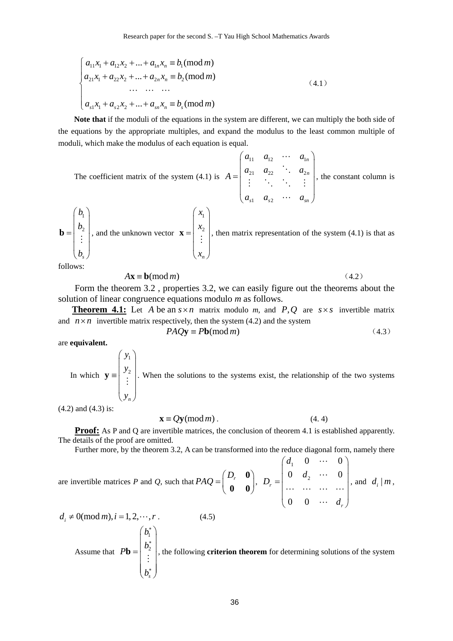$$
\begin{cases}\na_{11}x_1 + a_{12}x_2 + \dots + a_{1n}x_n \equiv b_1 \pmod{m} \\
a_{21}x_1 + a_{22}x_2 + \dots + a_{2n}x_n \equiv b_2 \pmod{m} \\
\dots \quad \dots \quad \dots \\
a_{s1}x_1 + a_{s2}x_2 + \dots + a_{sn}x_n \equiv b_s \pmod{m}\n\end{cases} \tag{4.1}
$$

**Note that** if the moduli of the equations in the system are different, we can multiply the both side of the equations by the appropriate multiples, and expand the modulus to the least common multiple of moduli, which make the modulus of each equation is equal.

The coefficient matrix of the system (4.1) is  $u_{11}$   $u_{12}$   $u_1$ 21  $u_{22}$  .  $u_2$  $\mathbf{u}_{s2}$ *n n*  $\mu_{s1}$   $\mu_{s2}$   $\mu_{sm}$  $a_{11}$   $a_{12}$   $\cdots$  *a*  $a_{21}$   $a_{22}$   $\therefore$  a *A*  $a_{s1}$   $a_{s2}$   $\cdots$  *a*  $\left(\begin{array}{cccc} a_{11} & a_{12} & \cdots & a_{1n} \\ \vdots & \vdots & \ddots & \vdots \\ a_{n-1} & a_{n-1} & \cdots & a_{nn} \end{array}\right)$ =  $\begin{pmatrix} a_{s1} & a_{s2} & \cdots & a_{sn} \end{pmatrix}$  $\ddots$  $\ddot{\phantom{a}}$  $\mathcal{V} = \{V_{\mathcal{M}} \mid V_{\mathcal{M}} \leq 0\}$  $\ddots$ , the constant column is  $\overline{1}$ 2 *s b b b*  $\begin{pmatrix} b_1 \\ b_2 \end{pmatrix}$  $=\left|\begin{array}{c} b_2 \\ \vdots \end{array}\right|$  $\left(\begin{matrix} \cdot \end{matrix}\right)$  $\mathbf{b} = \begin{bmatrix} 2 \\ 2 \\ 1 \end{bmatrix}$ , and the unknown vector 1 2 *n x x x*  $\begin{pmatrix} x_1 \\ x_2 \end{pmatrix}$  $=\left|\begin{array}{c} x_2 \\ \vdots \end{array}\right|$  $\begin{pmatrix} x_n \end{pmatrix}$  $\mathbf{x} = \begin{bmatrix} 1 & 0 & 0 \\ 0 & 1 & 0 \\ 0 & 0 & 0 \end{bmatrix}$ , then matrix representation of the system (4.1) is that as follows:

$$
A\mathbf{x} \equiv \mathbf{b}(\bmod m) \tag{4.2}
$$

Form the theorem 3.2 , properties 3.2, we can easily figure out the theorems about the solution of linear congruence equations modulo *m* as follows.

**Theorem 4.1:** Let *A* be an  $s \times n$  matrix modulo *m*, and *P*, *Q* are  $s \times s$  invertible matrix and  $n \times n$  invertible matrix respectively, then the system (4.2) and the system

$$
PAQ\mathbf{y} \equiv Pb(\text{mod } m) \tag{4.3}
$$

 $\theta$  *d* 

are **equivalent.**

In which 1 2 *n y y y*  $\left(\begin{array}{c} y_1 \\ y_2 \end{array}\right)$  $\equiv \left| \begin{array}{c} y_2 \\ \vdots \end{array} \right|$  $\left(y_n\right)$  $\mathbf{y} = \begin{bmatrix} 3 & 2 \\ 1 & 1 \end{bmatrix}$ . When the solutions to the systems exist, the relationship of the two systems

(4.2) and (4.3) is:

$$
\mathbf{x} \equiv Q\mathbf{y}(\text{mod } m). \tag{4.4}
$$

**Proof:** As P and Q are invertible matrices, the conclusion of theorem 4.1 is established apparently. The details of the proof are omitted.

Further more, by the theorem 3.2, A can be transformed into the reduce diagonal form, namely there

are invertible matrices P and Q, such that 
$$
PAQ = \begin{pmatrix} D_r & \mathbf{0} \\ \mathbf{0} & \mathbf{0} \end{pmatrix}
$$
,  $D_r = \begin{pmatrix} d_1 & 0 & \cdots & 0 \\ 0 & d_2 & \cdots & 0 \\ \cdots & \cdots & \cdots & \cdots \\ 0 & 0 & \cdots & d_r \end{pmatrix}$ , and  $d_i | m$ ,

$$
d_i \neq 0 \text{(mod } m), i = 1, 2, \dots, r
$$
\n
$$
\text{Assume that } Pb = \begin{pmatrix} b_1^* \\ b_2^* \\ \vdots \\ b_s^* \end{pmatrix}, \text{ the following criterion theorem for determining solutions of the system}
$$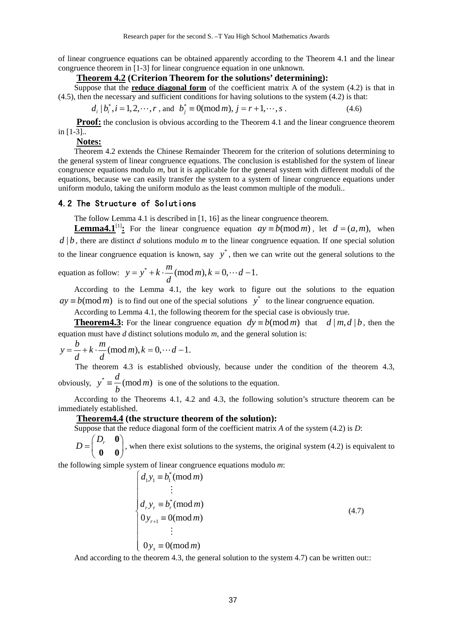of linear congruence equations can be obtained apparently according to the Theorem 4.1 and the linear congruence theorem in [1-3] for linear congruence equation in one unknown.

#### **Theorem 4.2 (Criterion Theorem for the solutions' determining):**

Suppose that the **reduce diagonal form** of the coefficient matrix A of the system (4.2) is that in (4.5), then the necessary and sufficient conditions for having solutions to the system (4.2) is that:

$$
d_i | b_i^*, i = 1, 2, \dots, r
$$
, and  $b_j^* \equiv 0 \pmod{m}$ ,  $j = r + 1, \dots, s$ . (4.6)

**Proof:** the conclusion is obvious according to the Theorem 4.1 and the linear congruence theorem in [1-3]..

#### **Notes:**

Theorem 4.2 extends the Chinese Remainder Theorem for the criterion of solutions determining to the general system of linear congruence equations. The conclusion is established for the system of linear congruence equations modulo *m*, but it is applicable for the general system with different moduli of the equations, because we can easily transfer the system to a system of linear congruence equations under uniform modulo, taking the uniform modulo as the least common multiple of the moduli..

#### 4.2 The Structure of Solutions

The follow Lemma 4.1 is described in [1, 16] as the linear congruence theorem.

**Lemma4.1**<sup>[1]</sup>: For the linear congruence equation  $ay \equiv b \pmod{m}$ , let  $d = (a, m)$ , when  $d \mid b$ , there are distinct *d* solutions modulo *m* to the linear congruence equation. If one special solution to the linear congruence equation is known, say  $y^*$ , then we can write out the general solutions to the equation as follow:  $y = y^* + k \cdot \frac{m}{d} \pmod{m}, k = 0, \dots d - 1.$ 

According to the Lemma 4.1, the key work to figure out the solutions to the equation  $a y \equiv b \pmod{m}$  is to find out one of the special solutions  $y^*$  to the linear congruence equation.

According to Lemma 4.1, the following theorem for the special case is obviously true.

**Theorem4.3:** For the linear congruence equation  $dy = b \pmod{m}$  that  $d | m, d | b$ , then the equation must have *d* distinct solutions modulo *m*, and the general solution is:

$$
y = \frac{b}{d} + k \cdot \frac{m}{d} \pmod{m}, k = 0, \cdots d - 1.
$$

The theorem 4.3 is established obviously, because under the condition of the theorem 4.3, obviously,  $y^* \equiv \frac{d}{b} \pmod{m}$  is one of the solutions to the equation.

According to the Theorems 4.1, 4.2 and 4.3, the following solution's structure theorem can be immediately established.

#### **Theorem4.4 (the structure theorem of the solution):**

Suppose that the reduce diagonal form of the coefficient matrix *A* of the system (4.2) is *D*:

 $D = \begin{pmatrix} D_r & \mathbf{0} \\ \mathbf{0} & \mathbf{0} \end{pmatrix}$  $\begin{pmatrix} 0 & 0 \end{pmatrix}$ , when there exist solutions to the systems, the original system (4.2) is equivalent to

the following simple system of linear congruence equations modulo *m*:

$$
\begin{cases}\nd_1 y_1 \equiv b_1^* (mod m) \\
\vdots \\
d_r y_r \equiv b_r^* (mod m) \\
0 y_{r+1} \equiv 0 (mod m) \\
\vdots \\
0 y_s \equiv 0 (mod m)\n\end{cases}
$$
\n(4.7)

And according to the theorem 4.3, the general solution to the system 4.7) can be written out::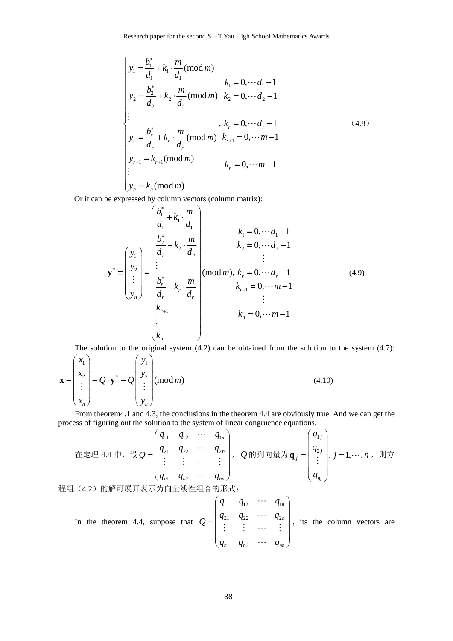Research paper for the second S. –T Yau High School Mathematics Awards

$$
\begin{cases}\ny_1 = \frac{b_1^*}{d_1} + k_1 \cdot \frac{m}{d_1} \text{ (mod } m) \\
y_2 = \frac{b_2^*}{d_2} + k_2 \cdot \frac{m}{d_2} \text{ (mod } m) \quad k_2 = 0, \dots d_2 - 1 \\
\vdots \\
y_r = \frac{b_r^*}{d_r} + k_r \cdot \frac{m}{d_r} \text{ (mod } m) \quad k_{r+1} = 0, \dots d_r - 1 \\
y_r = \frac{b_r^*}{d_r} + k_r \cdot \frac{m}{d_r} \text{ (mod } m) \quad k_{r+1} = 0, \dots m - 1 \\
\vdots \\
y_{r+1} = k_{r+1} \text{ (mod } m) \quad k_n = 0, \dots m - 1 \\
\vdots \\
y_n = k_n \text{ (mod } m)\n\end{cases} \tag{4.8}
$$

Or it can be expressed by column vectors (column matrix):

$$
\mathbf{y}^* = \begin{pmatrix} y_1 \\ y_2 \\ \vdots \\ y_n \end{pmatrix} = \begin{pmatrix} \frac{b_1^*}{d_1} + k_1 \cdot \frac{m}{d_1} \\ \frac{b_2^*}{d_2} + k_2 \cdot \frac{m}{d_2} \\ \vdots \\ \frac{b_r^*}{d_r} + k_r \cdot \frac{m}{d_r} \\ k_{r+1} \\ \vdots \\ k_{r+1} \\ k_n \end{pmatrix} \text{ (mod } m), k_r = 0, \dots d_r - 1 \qquad (4.9)
$$
\n
$$
k_{r+1} = 0, \dots m - 1
$$
\n
$$
k_n = 0, \dots m - 1
$$

The solution to the original system (4.2) can be obtained from the solution to the system (4.7):

$$
\mathbf{x} = \begin{pmatrix} x_1 \\ x_2 \\ \vdots \\ x_n \end{pmatrix} \equiv Q \cdot \mathbf{y}^* \equiv Q \begin{pmatrix} y_1 \\ y_2 \\ \vdots \\ y_n \end{pmatrix} \text{(mod } m)
$$
(4.10)

From theorem4.1 and 4.3, the conclusions in the theorem 4.4 are obviously true. And we can get the process of figuring out the solution to the system of linear congruence equations.

\n
$$
\text{EER} = 4.4 + \, \text{Re } Q = \n \begin{pmatrix}\n q_{11} & q_{12} & \cdots & q_{1n} \\
 q_{21} & q_{22} & \cdots & q_{2n} \\
 \vdots & \vdots & \cdots & \vdots \\
 q_{n1} & q_{n2} & \cdots & q_{nn}\n \end{pmatrix},\n \quad\n Q \text{ from the equation } \mathbf{q}_{nj} = \n \begin{pmatrix}\n q_{1j} \\
 q_{2j} \\
 \vdots \\
 q_{nj}\n \end{pmatrix},\n \quad\n j = 1, \cdots, n,\n \quad\n \text{where } \mathbf{q}_{1j} = \n \begin{pmatrix}\n q_{1j} \\
 q_{2j} \\
 \vdots \\
 q_{nj}\n \end{pmatrix},\n \quad\n j = 1, \cdots, n,\n \quad\n \text{where } \mathbf{q}_{1j} = \n \begin{pmatrix}\n q_{1j} \\
 q_{2j} \\
 \vdots \\
 q_{nj}\n \end{pmatrix},\n \quad\n j = 1, \cdots, n,\n \quad\n \text{where } \mathbf{q}_{1j} = \n \begin{pmatrix}\n q_{1j} \\
 q_{2j} \\
 \vdots \\
 q_{nj}\n \end{pmatrix},\n \quad\n \text{where } \mathbf{q}_{1j} = \n \begin{pmatrix}\n q_{1j} \\
 q_{2j} \\
 \vdots \\
 q_{nj}\n \end{pmatrix},\n \quad\n \text{where } \mathbf{q}_{1j} = \n \begin{pmatrix}\n q_{1j} \\
 q_{2j} \\
 \vdots \\
 q_{nj}\n \end{pmatrix},\n \quad\n \text{where } \mathbf{q}_{1j} = \n \begin{pmatrix}\n q_{1j} \\
 q_{2j} \\
 \vdots \\
 q_{nj}\n \end{pmatrix},\n \quad\n \text{where } \mathbf{q}_{1j} = \n \begin{pmatrix}\n q_{1j} \\
 q_{2j} \\
 \vdots \\
 q_{nj}\n \end{pmatrix},\n \quad\n \text{where } \mathbf{q}_{1j} = \n \begin{pmatrix}\n q_{1j} \\
 q_{2j} \\
 \vdots \\
 q_{nj}\n \end{pmatrix}.
$$
\n

程组(4.2)的解可展开表示为向量线性组合的形式:

In the theorem 4.4, suppose that  $\mathbf{q}_{12}$   $\mathbf{q}_{12}$   $\mathbf{q}_{1}$ 21  $\frac{q_{22}}{q_2}$   $\frac{q_2}{q_1}$ 1  $\mathbf{Y}_{n2}$ *n n*  $n_1$   $q_{n2}$   $q_{nn}$  $q_{11}$   $q_{12}$   $\cdots$   $q_{1n}$  $Q = \begin{vmatrix} q_{21} & q_{22} & \cdots & q_{n} \end{vmatrix}$  $q_{n1}$   $q_{n2}$   $\cdots$   $q_{n4}$  $\left(\begin{array}{cccc} q_{11} & q_{12} & \cdots & q_{1n} \end{array}\right)$ =  $(q_{n1} \quad q_{n2} \quad \cdots \quad q_{nn})$  $\ddots$  $\ddots$  $\mathbb{R}^n \times \mathbb{R}^n \times \mathbb{R}^n \times \mathbb{R}^n$  $\ddots$ , its the column vectors are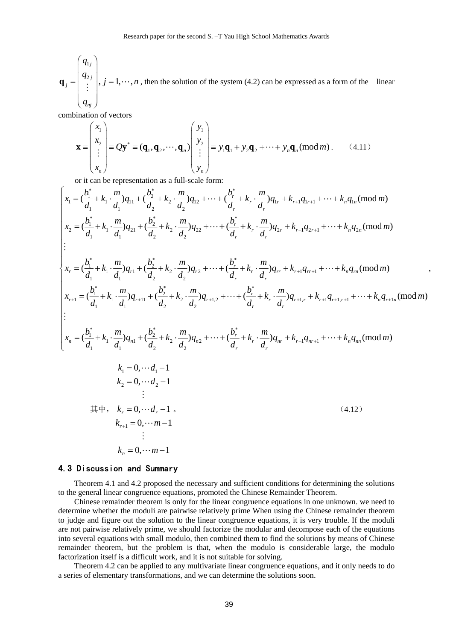1  $\begin{matrix} 2j \\ j \end{matrix}$ ,  $j = 1, \cdots$ , *j j j nj q*  $q_{2j}$ ,  $j = 1, \dots, n$ *q*  $\left(\begin{array}{c} q_{1j} \ q_{2j} \end{array}\right)$  $=\left|\begin{array}{c} q_{2j} \\ \vdots \end{array}\right|, j=$  $\big(\, q_{_{\mathit{nj}}}\,\big)$  $\mathbf{q}_j = \begin{bmatrix} 1 & 1 \\ 1 & 1 \end{bmatrix}, j = 1, \dots, n$ , then the solution of the system (4.2) can be expressed as a form of the linear

combination of vectors

$$
\mathbf{x} = \begin{pmatrix} x_1 \\ x_2 \\ \vdots \\ x_n \end{pmatrix} \equiv Q\mathbf{y}^* \equiv (\mathbf{q}_1, \mathbf{q}_2, \cdots, \mathbf{q}_n) \begin{pmatrix} y_1 \\ y_2 \\ \vdots \\ y_n \end{pmatrix} \equiv y_1 \mathbf{q}_1 + y_2 \mathbf{q}_2 + \cdots + y_n \mathbf{q}_n \pmod{m} . \tag{4.11}
$$

or it can be representation as a full-scale form:

$$
\begin{cases}\n x_1 = (\frac{b_1^*}{d_1} + k_1 \cdot \frac{m}{d_1})q_{11} + (\frac{b_2^*}{d_2} + k_2 \cdot \frac{m}{d_2})q_{12} + \dots + (\frac{b_r^*}{d_r} + k_r \cdot \frac{m}{d_r})q_{1r} + k_{r+1}q_{1r+1} + \dots + k_nq_{1n}(\text{mod } m) \\
 x_2 = (\frac{b_1^*}{d_1} + k_1 \cdot \frac{m}{d_1})q_{21} + (\frac{b_2^*}{d_2} + k_2 \cdot \frac{m}{d_2})q_{22} + \dots + (\frac{b_r^*}{d_r} + k_r \cdot \frac{m}{d_r})q_{2r} + k_{r+1}q_{2r+1} + \dots + k_nq_{2n}(\text{mod } m) \\
 & \vdots \\
 x_r = (\frac{b_1^*}{d_1} + k_1 \cdot \frac{m}{d_1})q_{r+1} + (\frac{b_2^*}{d_2} + k_2 \cdot \frac{m}{d_2})q_{r+2} + \dots + (\frac{b_r^*}{d_r} + k_r \cdot \frac{m}{d_r})q_{rr} + k_{r+1}q_{r+1} + \dots + k_nq_m(\text{mod } m) \\
 x_{r+1} = (\frac{b_1^*}{d_1} + k_1 \cdot \frac{m}{d_1})q_{r+11} + (\frac{b_2^*}{d_2} + k_2 \cdot \frac{m}{d_2})q_{r+12} + \dots + (\frac{b_r^*}{d_r} + k_r \cdot \frac{m}{d_r})q_{r+1,r} + k_{r+1}q_{r+1,r+1} + \dots + k_nq_{r+1}(\text{mod } m) \\
 & \vdots \\
 x_n = (\frac{b_1^*}{d_1} + k_1 \cdot \frac{m}{d_1})q_{n1} + (\frac{b_2^*}{d_2} + k_2 \cdot \frac{m}{d_2})q_{n2} + \dots + (\frac{b_r^*}{d_r} + k_r \cdot \frac{m}{d_r})q_{nr} + k_{r+1}q_{r+1,r+1} + \dots + k_nq_{nm}(\text{mod } m) \\
 & k_1 = 0, \dots d_1 - 1 \\
 & k_2 = 0, \dots d_2 - 1 \\
 & \vdots \\
 & k_n = 0, \dots m - 1
$$

,

## 4.3 Discussion and Summary

Theorem 4.1 and 4.2 proposed the necessary and sufficient conditions for determining the solutions to the general linear congruence equations, promoted the Chinese Remainder Theorem.

Chinese remainder theorem is only for the linear congruence equations in one unknown. we need to determine whether the moduli are pairwise relatively prime When using the Chinese remainder theorem to judge and figure out the solution to the linear congruence equations, it is very trouble. If the moduli are not pairwise relatively prime, we should factorize the modular and decompose each of the equations into several equations with small modulo, then combined them to find the solutions by means of Chinese remainder theorem, but the problem is that, when the modulo is considerable large, the modulo factorization itself is a difficult work, and it is not suitable for solving.

Theorem 4.2 can be applied to any multivariate linear congruence equations, and it only needs to do a series of elementary transformations, and we can determine the solutions soon.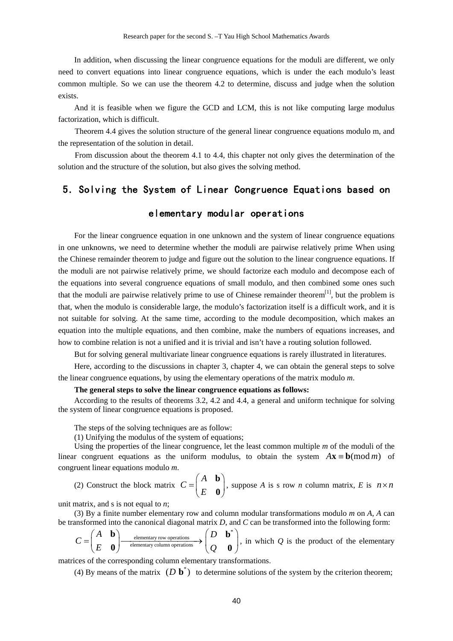In addition, when discussing the linear congruence equations for the moduli are different, we only need to convert equations into linear congruence equations, which is under the each modulo's least common multiple. So we can use the theorem 4.2 to determine, discuss and judge when the solution exists.

And it is feasible when we figure the GCD and LCM, this is not like computing large modulus factorization, which is difficult.

Theorem 4.4 gives the solution structure of the general linear congruence equations modulo m, and the representation of the solution in detail.

From discussion about the theorem 4.1 to 4.4, this chapter not only gives the determination of the solution and the structure of the solution, but also gives the solving method.

## 5.Solving the System of Linear Congruence Equations based on

## elementary modular operations

For the linear congruence equation in one unknown and the system of linear congruence equations in one unknowns, we need to determine whether the moduli are pairwise relatively prime When using the Chinese remainder theorem to judge and figure out the solution to the linear congruence equations. If the moduli are not pairwise relatively prime, we should factorize each modulo and decompose each of the equations into several congruence equations of small modulo, and then combined some ones such that the moduli are pairwise relatively prime to use of Chinese remainder theorem $^{[1]}$ , but the problem is that, when the modulo is considerable large, the modulo's factorization itself is a difficult work, and it is not suitable for solving. At the same time, according to the module decomposition, which makes an equation into the multiple equations, and then combine, make the numbers of equations increases, and how to combine relation is not a unified and it is trivial and isn't have a routing solution followed.

But for solving general multivariate linear congruence equations is rarely illustrated in literatures.

Here, according to the discussions in chapter 3, chapter 4, we can obtain the general steps to solve the linear congruence equations, by using the elementary operations of the matrix modulo *m*.

#### **The general steps to solve the linear congruence equations as follows:**

According to the results of theorems 3.2, 4.2 and 4.4, a general and uniform technique for solving the system of linear congruence equations is proposed.

The steps of the solving techniques are as follow:

(1) Unifying the modulus of the system of equations;

Using the properties of the linear congruence, let the least common multiple *m* of the moduli of the linear congruent equations as the uniform modulus, to obtain the system  $A\mathbf{x} \equiv \mathbf{b} \pmod{m}$  of congruent linear equations modulo *m*.

(2) Construct the block matrix *A C*  $=\begin{pmatrix} A & \mathbf{b} \\ E & \mathbf{0} \end{pmatrix}$  $\begin{bmatrix} 0 \\ 0 \end{bmatrix}$ , suppose *A* is s row *n* column matrix, *E* is  $n \times n$ 

unit matrix, and s is not equal to *n*;

(3) By a finite number elementary row and column modular transformations modulo *m* on *A*, *A* can be transformed into the canonical diagonal matrix *D*, and *C* can be transformed into the following form:

$$
C = \begin{pmatrix} A & \mathbf{b} \\ E & \mathbf{0} \end{pmatrix} \xrightarrow{\text{elementary row operations}} \begin{pmatrix} D & \mathbf{b}^* \\ Q & \mathbf{0} \end{pmatrix}
$$
, in which  $Q$  is the product of the elementary column operations.

matrices of the corresponding column elementary transformations.

(4) By means of the matrix  $(D \mathbf{b}^*)$  to determine solutions of the system by the criterion theorem;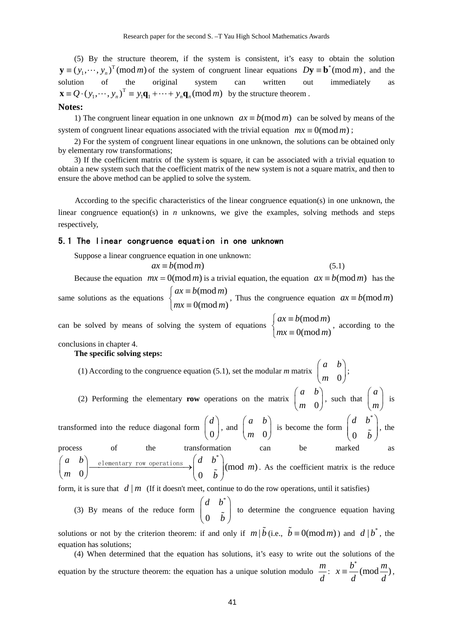(5) By the structure theorem, if the system is consistent, it's easy to obtain the solution  $\mathbf{y} \equiv (y_1, \dots, y_n)^\text{T}$  (mod *m*) of the system of congruent linear equations  $D\mathbf{y} \equiv \mathbf{b}^*$  (mod *m*), and the solution of the original system can written out immediately as  $\mathbf{x} = Q \cdot (y_1, \dots, y_n)^T \equiv y_1 \mathbf{q}_1 + \dots + y_n \mathbf{q}_n \pmod{m}$  by the structure theorem.

### **Notes:**

1) The congruent linear equation in one unknown  $ax \equiv b \pmod{m}$  can be solved by means of the system of congruent linear equations associated with the trivial equation  $mx \equiv 0 \pmod{m}$ ;

2) For the system of congruent linear equations in one unknown, the solutions can be obtained only by elementary row transformations;

3) If the coefficient matrix of the system is square, it can be associated with a trivial equation to obtain a new system such that the coefficient matrix of the new system is not a square matrix, and then to ensure the above method can be applied to solve the system.

According to the specific characteristics of the linear congruence equation(s) in one unknown, the linear congruence equation(s) in *n* unknowns, we give the examples, solving methods and steps respectively,

#### 5.1 The linear congruence equation in one unknown

Suppose a linear congruence equation in one unknown:

 $ax \equiv b \pmod{m}$  (5.1) Because the equation  $mx = 0 \pmod{m}$  is a trivial equation, the equation  $ax \equiv b \pmod{m}$  has the same solutions as the equations  $\begin{cases} ax \equiv b \pmod{m} \\ 0 & \text{if } a \neq 0 \end{cases}$  $0 \text{ (mod } m)$  $ax \equiv b \pmod{m}$  $\begin{cases} ax \equiv b \pmod{m} \\ mx \equiv 0 \pmod{m} \end{cases}$  $\begin{cases} dx = b \text{ (mod } m), \\ mx \equiv 0 \text{ (mod } m). \end{cases}$  Thus the congruence equation  $ax \equiv b \text{ (mod } m)$ 

can be solved by means of solving the system of equations  $\begin{cases} ax \equiv b \pmod{m} \\ 0 \leq a \leq b \end{cases}$  $0 \text{ (mod } m)$  $ax \equiv b \pmod{m}$  $\begin{cases} ax \equiv b \pmod{m} \\ mx \equiv 0 \pmod{m} \end{cases}$  $\{mx \equiv 0 \pmod{m}\}$ , according to the

conclusions in chapter 4.

#### **The specific solving steps:**

(1) According to the congruence equation (5.1), set the modular *m* matrix  $\begin{bmatrix} m & 0 \end{bmatrix}$ *a b*  $\begin{pmatrix} a & b \\ m & 0 \end{pmatrix};$ 

(2) Performing the elementary **row** operations on the matrix  $\begin{bmatrix} m & 0 \end{bmatrix}$ *a b*  $\begin{pmatrix} a & b \\ m & 0 \end{pmatrix}$ , such that  $\begin{pmatrix} a \\ n \end{pmatrix}$  $\binom{a}{m}$  is transformed into the reduce diagonal form  $\begin{bmatrix} 0 \\ 0 \end{bmatrix}$  $\left( d \right)$  $\begin{pmatrix} 0 \\ n \end{pmatrix}$ , and  $\begin{pmatrix} m & 0 \\ m & 0 \end{pmatrix}$ *a b*  $\begin{pmatrix} a & b \\ m & 0 \end{pmatrix}$  is become the form \*  $\mathbf{0}$ *d b*  $\begin{pmatrix} d & b^* \\ 0 & \tilde{b} \end{pmatrix}$ , the process of the transformation can be marked as \*  $\begin{bmatrix} 0 \end{bmatrix}$  elementary row operations  $\rightarrow$   $\begin{bmatrix} 0 & \tilde{b} \end{bmatrix}$  (mod *m*)  $a$  *b*  $\Big)$  elementary row operations  $\Big(d$  *b m m* 0)  $\left(0, \tilde{b}\right)$  $(a \ b)$  elementary row operations  $(d \ b^*)$  $\begin{pmatrix} a & b \\ m & 0 \end{pmatrix}$  elementary row operations  $\rightarrow \begin{pmatrix} a & b \\ 0 & \tilde{b} \end{pmatrix}$  (mod *m*). As the coefficient matrix is the reduce

form, it is sure that  $d \mid m$  (If it doesn't meet, continue to do the row operations, until it satisfies)

(3) By means of the reduce form \*  $\boldsymbol{0}$ *d b*  $\begin{pmatrix} d & b^* \\ 0 & \tilde{b} \end{pmatrix}$  to determine the congruence equation having solutions or not by the criterion theorem: if and only if  $m | \tilde{b}$  (i.e.,  $\tilde{b} = 0 \pmod{m}$ ) and  $d | b^*$ , the equation has solutions;

(4) When determined that the equation has solutions, it's easy to write out the solutions of the equation by the structure theorem: the equation has a unique solution modulo  $\frac{m}{\sqrt{m}}$ *d* :  $x \equiv \frac{b^*}{a} \pmod{\frac{m}{b}}$ *d d* ∗  $\equiv \frac{b}{2}$  (mod  $\frac{m}{2}$ ),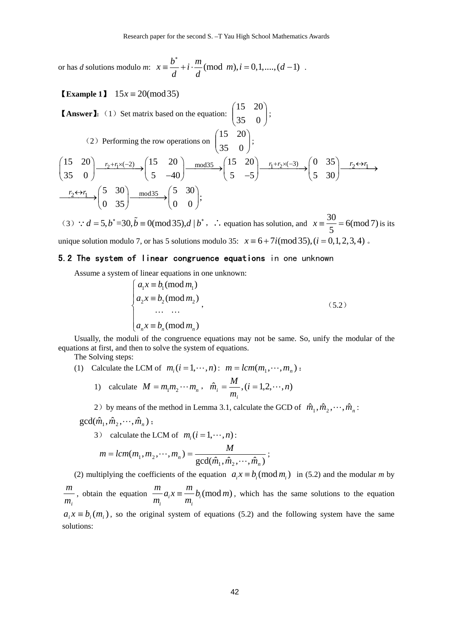or has *d* solutions modulo *m*:  $x = \frac{b^*}{1} + i \cdot \frac{m}{n}$  (mod *m*),  $i = 0,1,...,(d-1)$ *d d* ∗  $\equiv \frac{b}{i} + i \cdot \frac{m}{i} \pmod{m}, i = 0, 1, ..., (d-1)$ .

**Example 1**  $15x \equiv 20 \pmod{35}$ 

**[Answer]:** (1) Set matrix based on the equation:  $\begin{bmatrix} 15 & 28 \\ 35 & 0 \end{bmatrix}$ ⎠ ⎞  $\overline{\phantom{a}}$ ⎝  $\big($ 35 0 15 20 ; (2) Performing the row operations on  $\begin{bmatrix} 15 & 28 \\ 35 & 0 \end{bmatrix}$ ⎠ ⎞  $\vert$ ⎝  $\big($ 35 0 15 20 ; 15 20  $\frac{r_2 + r_1 \times (-2)}{2}$   $\left( \frac{15}{20} \right)$   $\frac{\text{mod35}}{2}$   $\left( \frac{15}{20} \right)$   $\frac{r_1 + r_2 \times (-3)}{2}$   $\left( \frac{0}{35} \right)$   $\frac{r_2 \leftrightarrow r_1 \times (-2)}{2}$  $\frac{1}{2} \leftrightarrow r_1 \quad \text{(5 \quad 30)} \quad \text{mod35} \quad \text{(5 \quad 30)}$  $35 \t0$   $(5 -40)$   $(5 -5)$   $(5 \t30)$  $\frac{r_2 \leftrightarrow r_1}{r_1}$   $\rightarrow$   $\begin{pmatrix} 5 & 30 \\ 0 & 35 \end{pmatrix}$   $\rightarrow$   $\begin{pmatrix} 5 & 30 \\ 0 & 0 \end{pmatrix}$ ;  $\begin{pmatrix} 15 & 20 \\ 25 & 0 \end{pmatrix}$   $\xrightarrow{r_2+r_1\times(-2)}$   $\begin{pmatrix} 15 & 20 \\ 5 & 40 \end{pmatrix}$   $\xrightarrow{mod35}$   $\begin{pmatrix} 15 & 20 \\ 5 & 5 \end{pmatrix}$   $\xrightarrow{r_1+r_2\times(-3)}$   $\begin{pmatrix} 0 & 35 \\ 5 & 30 \end{pmatrix}$   $\xrightarrow{r_2\leftrightarrow r_1}$  $(35 \t 0)$   $(5 \t -40)$   $(5 \t -5)$   $(5 \t 30)$  $(0, 35)$   $(0, 0)$ 

(3)  $d = 5, b^* = 30, \tilde{b} = 0 \pmod{35}, d \mid b^*$ ,  $\therefore$  equation has solution, and  $x = \frac{30}{5} = 6 \pmod{7}$  is its unique solution modulo 7, or has 5 solutions modulo 35:  $x \equiv 6 + 7i \pmod{35}$ ,  $(i = 0,1,2,3,4)$ .

#### 5.2 The system of linear congruence equations in one unknown

Assume a system of linear equations in one unknown:

$$
\begin{cases}\na_1 x \equiv b_1 \pmod{m_1} \\
a_2 x \equiv b_2 \pmod{m_2} \\
\vdots \\
a_n x \equiv b_n \pmod{m_n}\n\end{cases}
$$
\n(5.2)

Usually, the moduli of the congruence equations may not be same. So, unify the modular of the equations at first, and then to solve the system of equations.

The Solving steps:

(1) Calculate the LCM of  $m_i$  ( $i = 1, \dots, n$ ):  $m = lcm(m_1, \dots, m_n)$ :

1) calculate 
$$
M = m_1 m_2 \cdots m_n
$$
,  $\hat{m}_i = \frac{M}{m_i}$ ,  $(i = 1, 2, \cdots, n)$ 

2) by means of the method in Lemma 3.1, calculate the GCD of  $\hat{m}_1, \hat{m}_2, \dots, \hat{m}_n$ :

 $gcd(\hat{m}_1, \hat{m}_2, \cdots, \hat{m}_n)$ ;

3) calculate the LCM of 
$$
m_i
$$
 ( $i = 1, \dots, n$ ):  
\n
$$
m = lcm(m_1, m_2, \dots, m_n) = \frac{M}{gcd(\hat{m}_1, \hat{m}_2, \dots, \hat{m}_n)};
$$

(2) multiplying the coefficients of the equation  $a_i x \equiv b_i \pmod{m_i}$  in (5.2) and the modular *m* by *mi*  $\frac{m}{m}$ , obtain the equation  $\frac{m}{m} a_i x \equiv \frac{m}{m} b_i \pmod{m}$  $i$   $\mathbf{u}_i$  $\frac{m}{m_i} a_i x \equiv \frac{m}{m_i} b_i \pmod{m}$ , which has the same solutions to the equation  $a_i x \equiv b_i(m_i)$ , so the original system of equations (5.2) and the following system have the same solutions: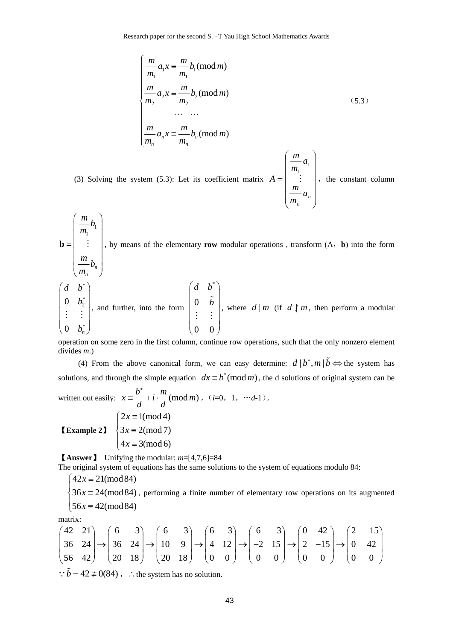Research paper for the second S. –T Yau High School Mathematics Awards

$$
\begin{cases}\n\frac{m}{m_1} a_1 x \equiv \frac{m}{m_1} b_1 \pmod{m} \\
\frac{m}{m_2} a_2 x \equiv \frac{m}{m_2} b_2 \pmod{m} \\
\vdots \\
\frac{m}{m_n} a_n x \equiv \frac{m}{m_n} b_n \pmod{m}\n\end{cases}
$$
\n(5.3)\n  
\n
$$
\left(\frac{m}{m_1} a_1\right)
$$

⎠

⎝

*n*

 (3) Solving the system (5.3): Let its coefficient matrix ⎟ ⎟ ⎟ ⎟  $\overline{\phantom{a}}$  $\overline{\phantom{a}}$  $\mathsf I$  $\mathsf I$ = *n a m m*  $A = \begin{bmatrix} m_1 \\ \vdots \\ m_n \end{bmatrix}$ , the constant column

1 1 *n n m b m m b m*  $\left(\begin{array}{c} m \\ m \end{array}\right)$  $\vert m_1 \vert$  $=$   $\begin{bmatrix} 1 & 1 \\ 1 & 1 \end{bmatrix}$  $\vert \quad \vert$  $\left(\frac{m}{m_n}b_n\right)$ **, by means of the elementary <b>row** modular operations, transform (A, **b**) into the form  $0 \t b_2^*$  $0 \t b_n^*$ *d b b b* ∗ ∗ ∗  $\begin{pmatrix} d & b^* \\ 0 & 1^* \end{pmatrix}$  $\begin{vmatrix} 0 & b_2 \end{vmatrix}$  $|$   $\vdots$   $|$  $\begin{vmatrix} \cdot & \cdot & \cdot \\ \cdot & \cdot & \cdot \end{vmatrix}$  $\begin{pmatrix} 0 & b_n \end{pmatrix}$  $\vdots$   $\vdots$   $\vdots$   $\vdots$  and further, into the form \* 0 0 0 *d b b*  $\begin{pmatrix} d & b \\ 1 & z \end{pmatrix}$  $\begin{vmatrix} 0 & b \end{vmatrix}$  $\vert \cdot \vert : \vert$  $\begin{pmatrix} \cdot & \cdot \\ 0 & 0 \end{pmatrix}$  $\tilde{b}$  $\mathbb{R}^n \rightarrow \mathbb{R}^n$ , where  $d | m$  (if  $d | m$ , then perform a modular

operation on some zero in the first column, continue row operations, such that the only nonzero element divides *m*.)

(4) From the above canonical form, we can easy determine:  $d | b^*, m | \tilde{b} \Leftrightarrow$  the system has solutions, and through the simple equation  $dx = b^* \pmod{m}$ , the d solutions of original system can be ∗

written out easily: 
$$
x = \frac{b^*}{d} + i \cdot \frac{m}{d} \pmod{m}
$$
,  $(i=0, 1, \dots, d-1)$ .  
\n**Example 21** 
$$
\begin{cases} 2x \equiv 1 \pmod{4} \\ 3x \equiv 2 \pmod{7} \\ 4x \equiv 3 \pmod{6} \end{cases}
$$

【**Answer**】 Unifying the modular: *m*=[4,7,6]=84

The original system of equations has the same solutions to the system of equations modulo 84:

$$
\begin{cases} 42x \equiv 21 \pmod{84} \\ 36x \equiv 24 \pmod{84}, \end{cases}
$$

 $56x \equiv 42 \pmod{84}$  $\begin{cases} 36x \equiv 24 \pmod{84}$ , performing a finite number of elementary row operations on its augmented

matrix:

$$
\begin{pmatrix} 42 & 21 \ 36 & 24 \ 56 & 42 \end{pmatrix} \rightarrow \begin{pmatrix} 6 & -3 \ 36 & 24 \ 20 & 18 \end{pmatrix} \rightarrow \begin{pmatrix} 6 & -3 \ 10 & 9 \ 20 & 18 \end{pmatrix} \rightarrow \begin{pmatrix} 6 & -3 \ 4 & 12 \ 0 & 0 \end{pmatrix} \rightarrow \begin{pmatrix} 6 & -3 \ -2 & 15 \ 0 & 0 \end{pmatrix} \rightarrow \begin{pmatrix} 0 & 42 \ 2 & -15 \ 0 & 0 \end{pmatrix} \rightarrow \begin{pmatrix} 2 & -15 \ 0 & 42 \ 0 & 0 \end{pmatrix}
$$
  
... b = 42 + 0(84).

 $\therefore$  *b* = 42  $\neq$  0(84),  $\therefore$  the system has no solution.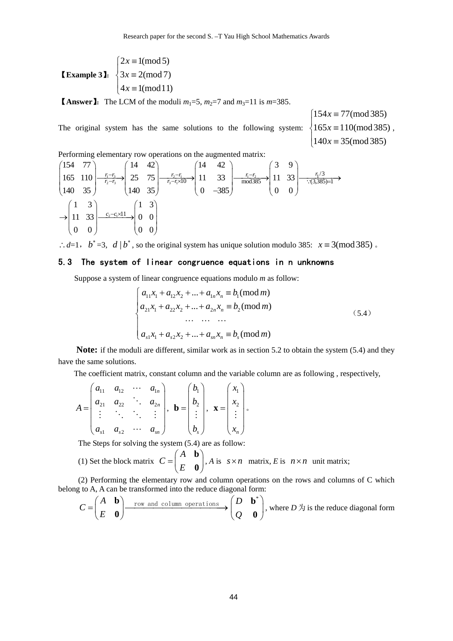**Example 31:**  $\begin{cases} 3x \equiv 2 \pmod{7} \end{cases}$  $\begin{cases} 2x \equiv 1 \pmod{5} \\ 2x = 2 \pmod{7} \end{cases}$  $4x \equiv 1 \pmod{11}$ 

**[Answer**]: The LCM of the moduli  $m_1=5$ ,  $m_2=7$  and  $m_3=11$  is  $m=385$ .

The original system has the same solutions to the following system:  $\left\{165x\equiv110\text{(mod }385)\right\}$ ,

 $\begin{cases} 154x \equiv 77 \pmod{385} \\ 165 \pmod{385} \end{cases}$  $140x \equiv 35 \pmod{385}$ 

Performing elementary row operations on the augmented matrix:

$$
\begin{pmatrix}\n154 & 77 \\
165 & 110 \\
140 & 35\n\end{pmatrix}\n\xrightarrow[r_2-r_3]{\frac{r_1-r_3}{r_2-r_3}}\n\begin{pmatrix}\n14 & 42 \\
25 & 75 \\
140 & 35\n\end{pmatrix}\n\xrightarrow[r_3-r_1 \times 10]{\frac{r_2-r_1}{r_3-r_1 \times 10}}\n\begin{pmatrix}\n14 & 42 \\
11 & 33 \\
0 & -385\n\end{pmatrix}\n\xrightarrow[r_1-r_2]{\frac{r_1-r_2}{r_1 \times 10}}\n\begin{pmatrix}\n3 & 9 \\
11 & 33 \\
0 & 0\n\end{pmatrix}\n\xrightarrow[r_1/3]{\frac{r_1}{3}}\n\xrightarrow[r_3/3]{\frac{r_1}{3}}\n\begin{pmatrix}\n3 & 9 \\
11 & 33 \\
0 & 0\n\end{pmatrix}\n\xrightarrow[r_1/3]{\frac{r_1}{3}}\n\begin{pmatrix}\n1 & 3 \\
0 & 0 \\
0 & 0\n\end{pmatrix}
$$

∴*d*=1, *b*<sup>∗</sup> =3, *d* | *b*<sup>∗</sup>, so the original system has unique solution modulo 385: *x* ≡ 3(mod 385) 。

## 5.3 The system of linear congruence equations in n unknowns

Suppose a system of linear congruence equations modulo *m* as follow:

$$
\begin{cases}\na_{11}x_1 + a_{12}x_2 + \dots + a_{1n}x_n \equiv b_1 \pmod{m} \\
a_{21}x_1 + a_{22}x_2 + \dots + a_{2n}x_n \equiv b_2 \pmod{m} \\
\dots \quad \dots \quad \dots \\
a_{s1}x_1 + a_{s2}x_2 + \dots + a_{sn}x_n \equiv b_s \pmod{m}\n\end{cases} \tag{5.4}
$$

**Note:** if the moduli are different, similar work as in section 5.2 to obtain the system (5.4) and they have the same solutions.

The coefficient matrix, constant column and the variable column are as following , respectively,

$$
A = \begin{pmatrix} a_{11} & a_{12} & \cdots & a_{1n} \\ a_{21} & a_{22} & \ddots & a_{2n} \\ \vdots & \ddots & \ddots & \vdots \\ a_{s1} & a_{s2} & \cdots & a_{sn} \end{pmatrix}, \mathbf{b} = \begin{pmatrix} b_1 \\ b_2 \\ \vdots \\ b_s \end{pmatrix}, \mathbf{x} = \begin{pmatrix} x_1 \\ x_2 \\ \vdots \\ x_n \end{pmatrix}.
$$

The Steps for solving the system (5.4) are as follow:

(1) Set the block matrix *A C*  $=\begin{pmatrix} A & \mathbf{b} \\ E & \mathbf{0} \end{pmatrix}$  $\begin{bmatrix} 0 \\ 0 \end{bmatrix}$ , *A* is  $s \times n$  matrix, *E* is  $n \times n$  unit matrix;

(2) Performing the elementary row and column operations on the rows and columns of C which belong to A, A can be transformed into the reduce diagonal form:

$$
C = \begin{pmatrix} A & \mathbf{b} \\ E & \mathbf{0} \end{pmatrix} \xrightarrow{\text{row and column operations}} \begin{pmatrix} D & \mathbf{b}^* \\ Q & \mathbf{0} \end{pmatrix}
$$
, where  $D \not\uparrow$  is the reduce diagonal form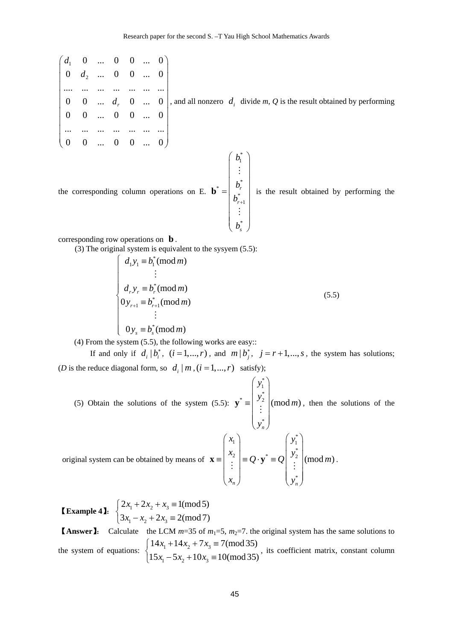1 2 0 ... 0 0 ... 0  $0 \quad d_2 \quad ... \quad 0 \quad 0 \quad ... \quad 0$ .... ... ... ... ... ... ...  $0 \quad 0 \quad ... \quad d_{r} \quad 0 \quad ... \quad 0$ 0 0 ... 0 0 ... 0 ... ... ... ... ... ... ... 0 0 ... 0 0 ... 0 *r d d d*  $\begin{pmatrix} d_1 & 0 & \dots & 0 & 0 & \dots & 0 \\ 0 & d_1 & 0 & 0 & 0 & 0 \end{pmatrix}$  $(0 \t 0 \t ... \t 0 \t 0 \t ... \t 0)$ , and all nonzero  $d_i$  divide  $m, Q$  is the result obtained by performing \*  $\overline{1}$ *b*  $\left( \begin{array}{c} b_1^* \ \cdot \end{array} \right)$ M

\*

 $\vert \hspace{.1cm} \cdot \hspace{.1cm} \cdot \hspace{.1cm} \vert$  $|h^*|$ 

*r r*

+

\* 1

 $|b_{r+1}|$  $|\cdot|$   $\pm$  $\bigg(\begin{array}{c} \cdot \ b_s^* \end{array} \bigg)$ 

M

*b b*

\*

*s*

*b*

the corresponding column operations on E. \*  $=\begin{vmatrix} 1 & r \\ r & r \end{vmatrix}$ **b**

is the result obtained by performing the

corresponding row operations on **b** .

(3) The original system is equivalent to the sysyem (5.5):

$$
\begin{cases}\nd_1 y_1 \equiv b_1^* (\text{mod } m) \\
\vdots \\
d_r y_r \equiv b_r^* (\text{mod } m) \\
0 y_{r+1} \equiv b_{r+1}^* (\text{mod } m) \\
\vdots \\
0 y_s \equiv b_s^* (\text{mod } m)\n\end{cases} (5.5)
$$

(4) From the system (5.5), the following works are easy::

If and only if  $d_i | b_i^*$ ,  $(i = 1, ..., r)$ , and  $m | b_j^*$ ,  $j = r + 1, ..., s$ , the system has solutions; (*D* is the reduce diagonal form, so  $d_i | m$ , ( $i = 1,..., r$ ) satisfy);

 (5) Obtain the solutions of the system (5.5): 1 \*  $\vert y_2 \vert$  2 \*  $(mod m)$ *n y y m y*  $\left(\begin{array}{c} y_1^* \\ y_1^* \end{array}\right)$  $=\left|\begin{array}{c} y_2 \\ \vdots \end{array}\right|$  $\begin{pmatrix} \cdot \\ y_n \end{pmatrix}$  $\mathbf{y}^* \equiv \begin{bmatrix} y^2 \\ \vdots \end{bmatrix}$  (mod *m*), then the solutions of the

\*

original system can be obtained by means of 
$$
\mathbf{x} = \begin{pmatrix} x_1 \\ x_2 \\ \vdots \\ x_n \end{pmatrix} = Q \cdot \mathbf{y}^* = Q \begin{pmatrix} y_1^* \\ y_2^* \\ \vdots \\ y_n^* \end{pmatrix} \pmod{m}
$$
.

**Example 41:**  $\left\{\frac{2x_1 + 2x_2 + x_3}{2}\right\}$  $\lambda_1$   $\lambda_2$   $\lambda_3$  $2x_1 + 2x_2 + x_3 \equiv 1 \pmod{5}$  $3x_1 - x_2 + 2x_3 \equiv 2 \pmod{7}$  $x_1 + 2x_2 + x$  $\begin{cases} 2x_1 + 2x_2 + x_3 \equiv \\ 3x_1 - x_2 + 2x_3 \equiv \end{cases}$  $3x_1 - x_2 + 2x_3 =$ 

**[Answer]:** Calculate the LCM  $m=35$  of  $m_1=5$ ,  $m_2=7$ . the original system has the same solutions to the system of equations:  $\begin{cases} 1 + x_1 + 1 + x_2 + 7x_3 \\ 1 - 1 & 1 \end{cases}$  $1^{3}$   $3^{1}$   $10^{1}$  $14x_1 + 14x_2 + 7x_3 \equiv 7 \pmod{35}$  $15x_1 - 5x_2 + 10x_3 \equiv 10 \pmod{35}$  $x_1 + 14x_2 + 7x$  $\begin{cases} 14x_1 + 14x_2 + 7x_3 \equiv \\ 15x_1 - 5x_2 + 10x_3 \equiv \end{cases}$  $\left(15x_1^3 - 5x_2 + 10x_3\right) = 10 \pmod{35}$ , its coefficient matrix, constant column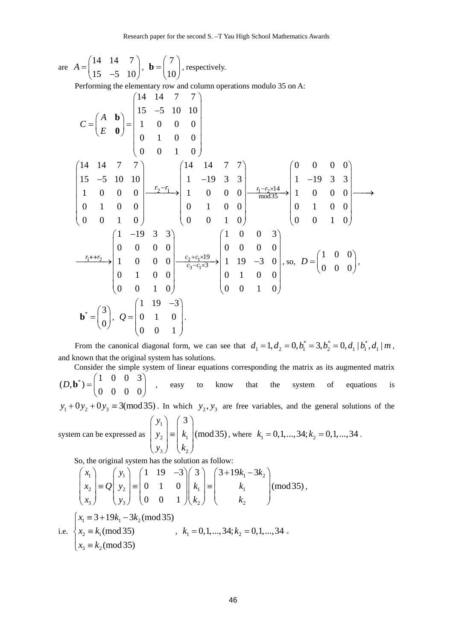are 
$$
A = \begin{pmatrix} 14 & 14 & 7 \\ 15 & -5 & 10 \end{pmatrix}
$$
,  $\mathbf{b} = \begin{pmatrix} 7 \\ 10 \end{pmatrix}$ , respectively.

Performing the elementary row and column operations modulo 35 on A:

$$
C = \begin{pmatrix} A & b \\ E & 0 \end{pmatrix} = \begin{pmatrix} 14 & 14 & 7 & 7 \\ 15 & -5 & 10 & 10 \\ 1 & 0 & 0 & 0 \\ 0 & 1 & 0 & 0 \\ 1 & 0 & 0 & 0 \end{pmatrix}
$$
  
\n
$$
\begin{pmatrix} 14 & 14 & 7 & 7 \\ 15 & -5 & 10 & 10 \\ 1 & 0 & 0 & 0 \\ 0 & 1 & 0 & 0 \\ 0 & 0 & 1 & 0 \end{pmatrix} \xrightarrow{r_2 - r_1} \begin{pmatrix} 14 & 14 & 7 & 7 \\ 1 & -19 & 3 & 3 \\ 1 & 0 & 0 & 0 \\ 0 & 1 & 0 & 0 \\ 0 & 0 & 1 & 0 \end{pmatrix} \xrightarrow{r_2 - r_1} \begin{pmatrix} 0 & 0 & 0 & 0 \\ 0 & 0 & 0 & 0 \\ 0 & 1 & 0 & 0 \\ 0 & 0 & 1 & 0 \end{pmatrix} \xrightarrow{r_1 - r_2 \times 14} \begin{pmatrix} 0 & 0 & 0 & 0 \\ 1 & -19 & 3 & 3 \\ 1 & 0 & 0 & 0 \\ 0 & 1 & 0 & 0 \\ 0 & 0 & 1 & 0 \end{pmatrix}
$$
  
\n
$$
\begin{pmatrix} 1 & -19 & 3 & 3 \\ 0 & 0 & 0 & 0 \\ 0 & 1 & 0 & 0 \\ 0 & 1 & 0 & 0 \end{pmatrix} \xrightarrow{r_2 + r_2 \times 19} \begin{pmatrix} 1 & 0 & 0 & 3 \\ 0 & 0 & 0 & 0 \\ 0 & 0 & 0 & 0 \\ 0 & 1 & 0 & 0 \\ 0 & 0 & 1 & 0 \end{pmatrix}, \text{ so, } D = \begin{pmatrix} 1 & 0 & 0 \\ 0 & 0 & 0 \\ 0 & 0 & 0 \end{pmatrix},
$$
  
\n
$$
\mathbf{b}^* = \begin{pmatrix} 3 \\ 0 \end{pmatrix}, Q = \begin{pmatrix} 1 & 19 & -3 \\ 0 & 1 & 0 \\ 0 & 0 & 1 \end{pmatrix}.
$$

From the canonical diagonal form, we can see that  $d_1 = 1, d_2 = 0, b_1^* = 3, b_2^* = 0, d_1 | b_1^*, d_1 | m$ , and known that the original system has solutions.

Consider the simple system of linear equations corresponding the matrix as its augmented matrix  $(\begin{pmatrix} 1 & 0 & 0 & 3 \end{pmatrix})$  $(D, \mathbf{b}^*) = \begin{pmatrix} 1 & 0 & 0 & 3 \\ 0 & 0 & 0 & 0 \end{pmatrix}$  $\mathbf{b}^*$ ) =  $\begin{bmatrix} 1 & 0 & 0 \\ 0 & 0 & 0 \\ 0 & 0 & 0 \end{bmatrix}$ , easy to know that the system of equations is

 $y_1 + 0y_2 + 0y_3 \equiv 3 \pmod{35}$ . In which  $y_2, y_3$  are free variables, and the general solutions of the

system can be expressed as 
$$
\begin{pmatrix} y_1 \\ y_2 \\ y_3 \end{pmatrix} = \begin{pmatrix} 3 \\ k_1 \\ k_2 \end{pmatrix}
$$
 (mod 35), where  $k_1 = 0, 1, ..., 34; k_2 = 0, 1, ..., 34$ .

So, the original system has the solution as follow:

$$
\begin{pmatrix} x_1 \\ x_2 \\ x_3 \end{pmatrix} = Q \begin{pmatrix} y_1 \\ y_2 \\ y_3 \end{pmatrix} = \begin{pmatrix} 1 & 19 & -3 \\ 0 & 1 & 0 \\ 0 & 0 & 1 \end{pmatrix} \begin{pmatrix} 3 \\ k_1 \\ k_2 \end{pmatrix} = \begin{pmatrix} 3+19k_1 - 3k_2 \\ k_1 \\ k_2 \end{pmatrix}
$$
 (mod 35),  
i.e. 
$$
\begin{cases} x_1 \equiv 3+19k_1 - 3k_2 \pmod{35} \\ x_2 \equiv k_1 \pmod{35} \\ x_3 \equiv k_2 \pmod{35} \end{cases}, k_1 = 0, 1, ..., 34; k_2 = 0, 1, ..., 34.
$$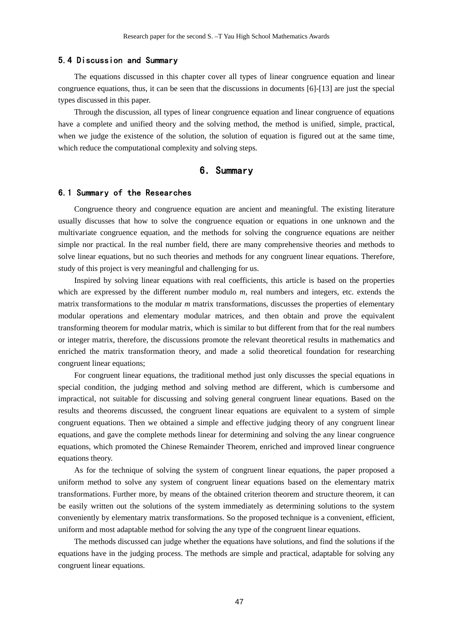#### 5.4 Discussion and Summary

The equations discussed in this chapter cover all types of linear congruence equation and linear congruence equations, thus, it can be seen that the discussions in documents [6]-[13] are just the special types discussed in this paper.

Through the discussion, all types of linear congruence equation and linear congruence of equations have a complete and unified theory and the solving method, the method is unified, simple, practical, when we judge the existence of the solution, the solution of equation is figured out at the same time, which reduce the computational complexity and solving steps.

## 6.Summary

#### 6.1 Summary of the Researches

Congruence theory and congruence equation are ancient and meaningful. The existing literature usually discusses that how to solve the congruence equation or equations in one unknown and the multivariate congruence equation, and the methods for solving the congruence equations are neither simple nor practical. In the real number field, there are many comprehensive theories and methods to solve linear equations, but no such theories and methods for any congruent linear equations. Therefore, study of this project is very meaningful and challenging for us.

Inspired by solving linear equations with real coefficients, this article is based on the properties which are expressed by the different number modulo *m*, real numbers and integers, etc. extends the matrix transformations to the modular *m* matrix transformations, discusses the properties of elementary modular operations and elementary modular matrices, and then obtain and prove the equivalent transforming theorem for modular matrix, which is similar to but different from that for the real numbers or integer matrix, therefore, the discussions promote the relevant theoretical results in mathematics and enriched the matrix transformation theory, and made a solid theoretical foundation for researching congruent linear equations;

For congruent linear equations, the traditional method just only discusses the special equations in special condition, the judging method and solving method are different, which is cumbersome and impractical, not suitable for discussing and solving general congruent linear equations. Based on the results and theorems discussed, the congruent linear equations are equivalent to a system of simple congruent equations. Then we obtained a simple and effective judging theory of any congruent linear equations, and gave the complete methods linear for determining and solving the any linear congruence equations, which promoted the Chinese Remainder Theorem, enriched and improved linear congruence equations theory.

As for the technique of solving the system of congruent linear equations, the paper proposed a uniform method to solve any system of congruent linear equations based on the elementary matrix transformations. Further more, by means of the obtained criterion theorem and structure theorem, it can be easily written out the solutions of the system immediately as determining solutions to the system conveniently by elementary matrix transformations. So the proposed technique is a convenient, efficient, uniform and most adaptable method for solving the any type of the congruent linear equations.

The methods discussed can judge whether the equations have solutions, and find the solutions if the equations have in the judging process. The methods are simple and practical, adaptable for solving any congruent linear equations.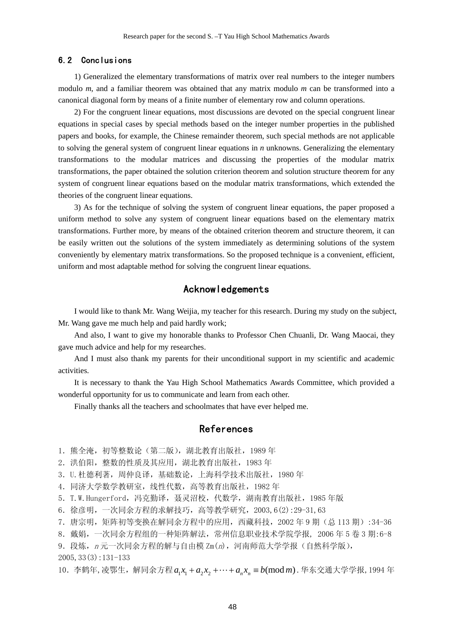#### 6.2 Conclusions

1) Generalized the elementary transformations of matrix over real numbers to the integer numbers modulo *m*, and a familiar theorem was obtained that any matrix modulo *m* can be transformed into a canonical diagonal form by means of a finite number of elementary row and column operations.

2) For the congruent linear equations, most discussions are devoted on the special congruent linear equations in special cases by special methods based on the integer number properties in the published papers and books, for example, the Chinese remainder theorem, such special methods are not applicable to solving the general system of congruent linear equations in *n* unknowns. Generalizing the elementary transformations to the modular matrices and discussing the properties of the modular matrix transformations, the paper obtained the solution criterion theorem and solution structure theorem for any system of congruent linear equations based on the modular matrix transformations, which extended the theories of the congruent linear equations.

3) As for the technique of solving the system of congruent linear equations, the paper proposed a uniform method to solve any system of congruent linear equations based on the elementary matrix transformations. Further more, by means of the obtained criterion theorem and structure theorem, it can be easily written out the solutions of the system immediately as determining solutions of the system conveniently by elementary matrix transformations. So the proposed technique is a convenient, efficient, uniform and most adaptable method for solving the congruent linear equations.

## Acknowledgements

I would like to thank Mr. Wang Weijia, my teacher for this research. During my study on the subject, Mr. Wang gave me much help and paid hardly work;

And also, I want to give my honorable thanks to Professor Chen Chuanli, Dr. Wang Maocai, they gave much advice and help for my researches.

And I must also thank my parents for their unconditional support in my scientific and academic activities.

It is necessary to thank the Yau High School Mathematics Awards Committee, which provided a wonderful opportunity for us to communicate and learn from each other.

Finally thanks all the teachers and schoolmates that have ever helped me.

## References

1. 熊全淹, 初等整数论(第二版), 湖北教育出版社, 1989年

2.洪伯阳,整数的性质及其应用,湖北教育出版社,1983 年

- 3.U.杜德利著,周仲良译,基础数论,上海科学技术出版社,1980 年
- 4.同济大学数学教研室,线性代数,高等教育出版社,1982 年
- 5. T.W. Hungerford, 冯克勤译, 聂灵沼校, 代数学, 湖南教育出版社, 1985 年版
- 6.徐彦明,一次同余方程的求解技巧,高等教学研究,2003,6(2):29-31,63

7.唐宗明,矩阵初等变换在解同余方程中的应用,西藏科技,2002 年 9 期(总 113 期):34-36

8.戴娟,一次同余方程组的一种矩阵解法,常州信息职业技术学院学报, 2006 年 5 卷 3 期:6-8

9. 段炼, $n \overline{n}$ 一次同余方程的解与自由模 Zm $(n)$ , 河南师范大学学报(自然科学版), 2005,33(3):131-133

10. 李鹤年,凌鄂生, 解同余方程 a<sub>1</sub>x<sub>1</sub> + a<sub>2</sub>x<sub>2</sub> +… + a<sub>n</sub>x<sub>n</sub> ≡ b(mod m). 华东交通大学学报, 1994 年